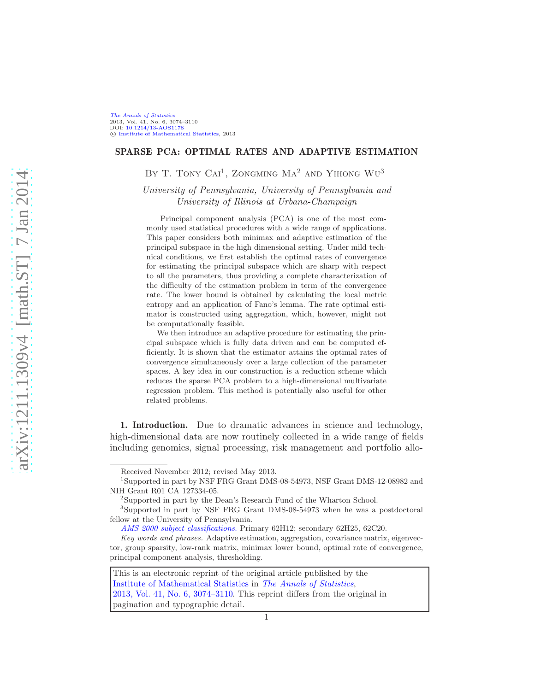# SPARSE PCA: OPTIMAL RATES AND ADAPTIVE ESTIMATION

BY T. TONY CAI<sup>1</sup>, ZONGMING  $\rm Ma^2$  and Yihong  $\rm Wu^3$ 

University of Pennsylvania, University of Pennsylvania and University of Illinois at Urbana-Champaign

Principal component analysis (PCA) is one of the most commonly used statistical procedures with a wide range of applications. This paper considers both minimax and adaptive estimation of the principal subspace in the high dimensional setting. Under mild technical conditions, we first establish the optimal rates of convergence for estimating the principal subspace which are sharp with respect to all the parameters, thus providing a complete characterization of the difficulty of the estimation problem in term of the convergence rate. The lower bound is obtained by calculating the local metric entropy and an application of Fano's lemma. The rate optimal estimator is constructed using aggregation, which, however, might not be computationally feasible.

We then introduce an adaptive procedure for estimating the principal subspace which is fully data driven and can be computed efficiently. It is shown that the estimator attains the optimal rates of convergence simultaneously over a large collection of the parameter spaces. A key idea in our construction is a reduction scheme which reduces the sparse PCA problem to a high-dimensional multivariate regression problem. This method is potentially also useful for other related problems.

1. Introduction. Due to dramatic advances in science and technology, high-dimensional data are now routinely collected in a wide range of fields including genomics, signal processing, risk management and portfolio allo-

Received November 2012; revised May 2013.

<sup>1</sup> Supported in part by NSF FRG Grant DMS-08-54973, NSF Grant DMS-12-08982 and NIH Grant R01 CA 127334-05.

<sup>&</sup>lt;sup>2</sup>Supported in part by the Dean's Research Fund of the Wharton School.

<sup>3</sup> Supported in part by NSF FRG Grant DMS-08-54973 when he was a postdoctoral fellow at the University of Pennsylvania.

[AMS 2000 subject classifications.](http://www.ams.org/msc/) Primary 62H12; secondary 62H25, 62C20.

Key words and phrases. Adaptive estimation, aggregation, covariance matrix, eigenvector, group sparsity, low-rank matrix, minimax lower bound, optimal rate of convergence, principal component analysis, thresholding.

This is an electronic reprint of the original article published by the [Institute of Mathematical Statistics](http://www.imstat.org) in [The Annals of Statistics](http://www.imstat.org/aos/), [2013, Vol. 41, No. 6, 3074–3110.](http://dx.doi.org/10.1214/13-AOS1178) This reprint differs from the original in pagination and typographic detail.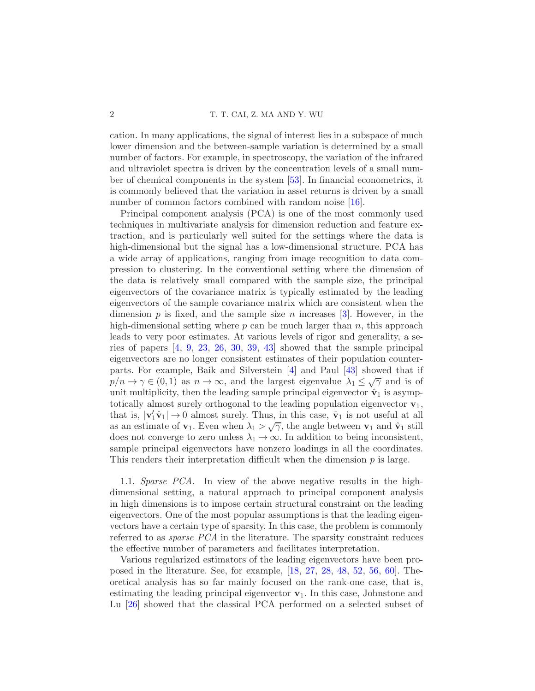cation. In many applications, the signal of interest lies in a subspace of much lower dimension and the between-sample variation is determined by a small number of factors. For example, in spectroscopy, the variation of the infrared and ultraviolet spectra is driven by the concentration levels of a small number of chemical components in the system [\[53\]](#page-37-0). In financial econometrics, it is commonly believed that the variation in asset returns is driven by a small number of common factors combined with random noise [\[16](#page-35-0)].

Principal component analysis (PCA) is one of the most commonly used techniques in multivariate analysis for dimension reduction and feature extraction, and is particularly well suited for the settings where the data is high-dimensional but the signal has a low-dimensional structure. PCA has a wide array of applications, ranging from image recognition to data compression to clustering. In the conventional setting where the dimension of the data is relatively small compared with the sample size, the principal eigenvectors of the covariance matrix is typically estimated by the leading eigenvectors of the sample covariance matrix which are consistent when the dimension p is fixed, and the sample size n increases  $[3]$ . However, in the high-dimensional setting where  $p$  can be much larger than  $n$ , this approach leads to very poor estimates. At various levels of rigor and generality, a series of papers [\[4](#page-34-1), [9,](#page-35-1) [23,](#page-35-2) [26](#page-35-3), [30](#page-36-0), [39](#page-36-1), [43](#page-36-2)] showed that the sample principal eigenvectors are no longer consistent estimates of their population counterparts. For example, Baik and Silverstein [\[4\]](#page-34-1) and Paul [\[43\]](#page-36-2) showed that if  $p/n \to \gamma \in (0,1)$  as  $n \to \infty$ , and the largest eigenvalue  $\lambda_1 \leq \sqrt{\gamma}$  and is of unit multiplicity, then the leading sample principal eigenvector  $\hat{\mathbf{v}}_1$  is asymptotically almost surely orthogonal to the leading population eigenvector  $\mathbf{v}_1$ , that is,  $|\mathbf{v}'_1 \hat{\mathbf{v}}_1| \to 0$  almost surely. Thus, in this case,  $\hat{\mathbf{v}}_1$  is not useful at all as an estimate of  $\mathbf{v}_1$ . Even when  $\lambda_1 > \sqrt{\gamma}$ , the angle between  $\mathbf{v}_1$  and  $\hat{\mathbf{v}}_1$  still does not converge to zero unless  $\lambda_1 \to \infty$ . In addition to being inconsistent, sample principal eigenvectors have nonzero loadings in all the coordinates. This renders their interpretation difficult when the dimension  $p$  is large.

1.1. Sparse PCA. In view of the above negative results in the highdimensional setting, a natural approach to principal component analysis in high dimensions is to impose certain structural constraint on the leading eigenvectors. One of the most popular assumptions is that the leading eigenvectors have a certain type of sparsity. In this case, the problem is commonly referred to as *sparse PCA* in the literature. The sparsity constraint reduces the effective number of parameters and facilitates interpretation.

Various regularized estimators of the leading eigenvectors have been proposed in the literature. See, for example, [\[18](#page-35-4), [27](#page-35-5), [28,](#page-36-3) [48,](#page-36-4) [52](#page-37-1), [56](#page-37-2), [60\]](#page-37-3). Theoretical analysis has so far mainly focused on the rank-one case, that is, estimating the leading principal eigenvector  $v_1$ . In this case, Johnstone and Lu [\[26](#page-35-3)] showed that the classical PCA performed on a selected subset of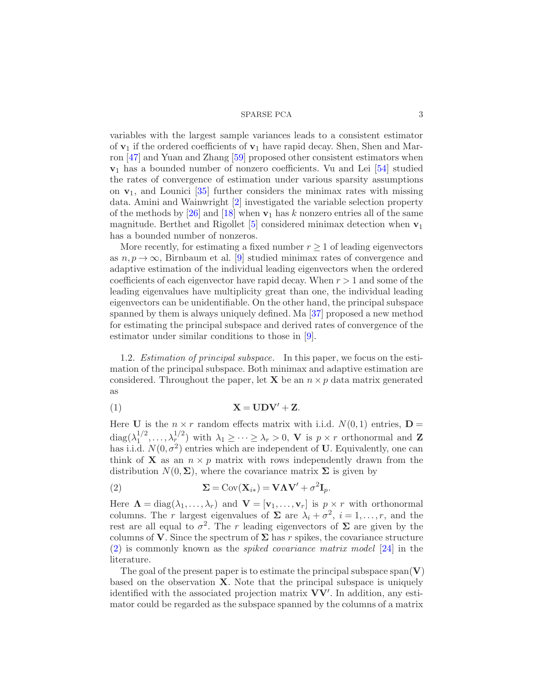variables with the largest sample variances leads to a consistent estimator of  $\mathbf{v}_1$  if the ordered coefficients of  $\mathbf{v}_1$  have rapid decay. Shen, Shen and Marron [\[47](#page-36-5)] and Yuan and Zhang [\[59\]](#page-37-4) proposed other consistent estimators when  $\mathbf{v}_1$  has a bounded number of nonzero coefficients. Vu and Lei [\[54](#page-37-5)] studied the rates of convergence of estimation under various sparsity assumptions on  $v_1$ , and Lounici [\[35](#page-36-6)] further considers the minimax rates with missing data. Amini and Wainwright [\[2\]](#page-34-2) investigated the variable selection property of the methods by [\[26\]](#page-35-3) and [\[18](#page-35-4)] when  $v_1$  has k nonzero entries all of the same magnitude. Berthet and Rigollet  $[5]$  considered minimax detection when  $v_1$ has a bounded number of nonzeros.

More recently, for estimating a fixed number  $r \geq 1$  of leading eigenvectors as  $n, p \to \infty$ , Birnbaum et al. [\[9\]](#page-35-1) studied minimax rates of convergence and adaptive estimation of the individual leading eigenvectors when the ordered coefficients of each eigenvector have rapid decay. When  $r > 1$  and some of the leading eigenvalues have multiplicity great than one, the individual leading eigenvectors can be unidentifiable. On the other hand, the principal subspace spanned by them is always uniquely defined. Ma [\[37](#page-36-7)] proposed a new method for estimating the principal subspace and derived rates of convergence of the estimator under similar conditions to those in [\[9](#page-35-1)].

1.2. *Estimation of principal subspace*. In this paper, we focus on the estimation of the principal subspace. Both minimax and adaptive estimation are considered. Throughout the paper, let **X** be an  $n \times p$  data matrix generated as

<span id="page-2-1"></span>
$$
X = UDV' + Z.
$$

Here **U** is the  $n \times r$  random effects matrix with i.i.d.  $N(0, 1)$  entries,  $\mathbf{D} =$  $diag(\lambda_1^{1/2})$  $\lambda_1^{1/2}, \ldots, \lambda_r^{1/2}$  with  $\lambda_1 \geq \cdots \geq \lambda_r > 0$ , V is  $p \times r$  orthonormal and Z has i.i.d.  $N(0, \sigma^2)$  entries which are independent of U. Equivalently, one can think of **X** as an  $n \times p$  matrix with rows independently drawn from the distribution  $N(0, \Sigma)$ , where the covariance matrix  $\Sigma$  is given by

<span id="page-2-0"></span>(2) 
$$
\mathbf{\Sigma} = \text{Cov}(\mathbf{X}_{i*}) = \mathbf{V}\mathbf{\Lambda}\mathbf{V}' + \sigma^2 \mathbf{I}_p.
$$

Here  $\Lambda = \text{diag}(\lambda_1, \ldots, \lambda_r)$  and  $\mathbf{V} = [\mathbf{v}_1, \ldots, \mathbf{v}_r]$  is  $p \times r$  with orthonormal columns. The r largest eigenvalues of  $\Sigma$  are  $\lambda_i + \sigma^2$ ,  $i = 1, \ldots, r$ , and the rest are all equal to  $\sigma^2$ . The r leading eigenvectors of  $\Sigma$  are given by the columns of V. Since the spectrum of  $\Sigma$  has r spikes, the covariance structure [\(2\)](#page-2-0) is commonly known as the spiked covariance matrix model [\[24](#page-35-6)] in the literature.

The goal of the present paper is to estimate the principal subspace span $(V)$ based on the observation  $X$ . Note that the principal subspace is uniquely identified with the associated projection matrix VV′ . In addition, any estimator could be regarded as the subspace spanned by the columns of a matrix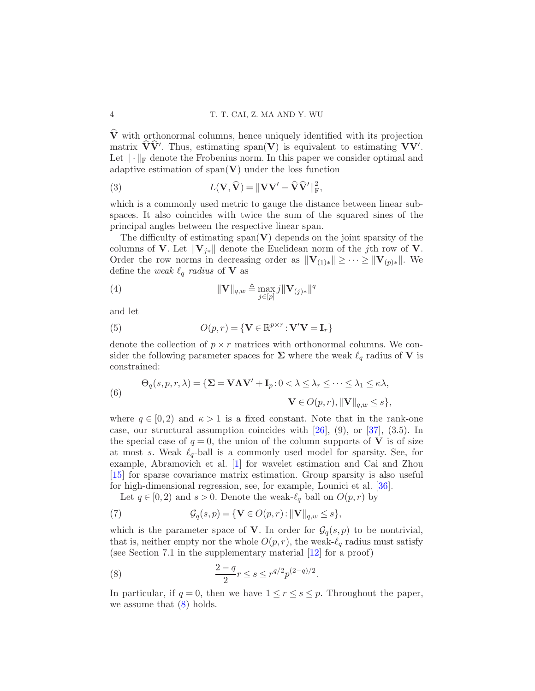$\widehat{\mathbf{V}}$  with orthonormal columns, hence uniquely identified with its projection matrix  $\mathbf{V}\mathbf{V}'$ . Thus, estimating span $(\mathbf{V})$  is equivalent to estimating  $\mathbf{V}\mathbf{V}'$ . Let  $\|\cdot\|_F$  denote the Frobenius norm. In this paper we consider optimal and adaptive estimation of  $\text{span}(\mathbf{V})$  under the loss function

<span id="page-3-1"></span>(3) 
$$
L(\mathbf{V}, \hat{\mathbf{V}}) = \|\mathbf{V}\mathbf{V}' - \hat{\mathbf{V}}\hat{\mathbf{V}}'\|_{\text{F}}^2,
$$

which is a commonly used metric to gauge the distance between linear subspaces. It also coincides with twice the sum of the squared sines of the principal angles between the respective linear span.

The difficulty of estimating  $\text{span}(\mathbf{V})$  depends on the joint sparsity of the columns of V. Let  $\|\mathbf{V}_{i*}\|$  denote the Euclidean norm of the jth row of V. Order the row norms in decreasing order as  $\|\mathbf{V}_{(1)*}\| \geq \cdots \geq \|\mathbf{V}_{(p)*}\|$ . We define the weak  $\ell_q$  radius of **V** as

(4) 
$$
\|\mathbf{V}\|_{q,w} \triangleq \max_{j \in [p]} j \|\mathbf{V}_{(j)*}\|^q
$$

and let

(5) 
$$
O(p,r) = \{ \mathbf{V} \in \mathbb{R}^{p \times r} : \mathbf{V}'\mathbf{V} = \mathbf{I}_r \}
$$

denote the collection of  $p \times r$  matrices with orthonormal columns. We consider the following parameter spaces for  $\Sigma$  where the weak  $\ell_q$  radius of V is constrained:

<span id="page-3-2"></span>(6)  
\n
$$
\Theta_q(s, p, r, \lambda) = \{ \mathbf{\Sigma} = \mathbf{V}\mathbf{\Lambda}\mathbf{V}' + \mathbf{I}_p : 0 < \lambda \leq \lambda_r \leq \cdots \leq \lambda_1 \leq \kappa \lambda, \n\mathbf{V} \in O(p, r), ||\mathbf{V}||_{q, w} \leq s \},
$$

where  $q \in [0, 2)$  and  $\kappa > 1$  is a fixed constant. Note that in the rank-one case, our structural assumption coincides with [\[26\]](#page-35-3), (9), or [\[37](#page-36-7)], (3.5). In the special case of  $q = 0$ , the union of the column supports of V is of size at most s. Weak  $\ell_{q}$ -ball is a commonly used model for sparsity. See, for example, Abramovich et al. [\[1\]](#page-34-4) for wavelet estimation and Cai and Zhou [\[15\]](#page-35-7) for sparse covariance matrix estimation. Group sparsity is also useful for high-dimensional regression, see, for example, Lounici et al. [\[36](#page-36-8)].

Let  $q \in [0,2)$  and  $s > 0$ . Denote the weak- $\ell_q$  ball on  $O(p,r)$  by

(7) 
$$
\mathcal{G}_q(s,p) = \{ \mathbf{V} \in O(p,r) : ||\mathbf{V}||_{q,w} \leq s \},
$$

which is the parameter space of V. In order for  $\mathcal{G}_q(s,p)$  to be nontrivial, that is, neither empty nor the whole  $O(p,r)$ , the weak- $\ell_q$  radius must satisfy (see Section 7.1 in the supplementary material [\[12](#page-35-8)] for a proof)

<span id="page-3-0"></span>(8) 
$$
\frac{2-q}{2}r \leq s \leq r^{q/2}p^{(2-q)/2}.
$$

In particular, if  $q = 0$ , then we have  $1 \le r \le s \le p$ . Throughout the paper, we assume that  $(8)$  holds.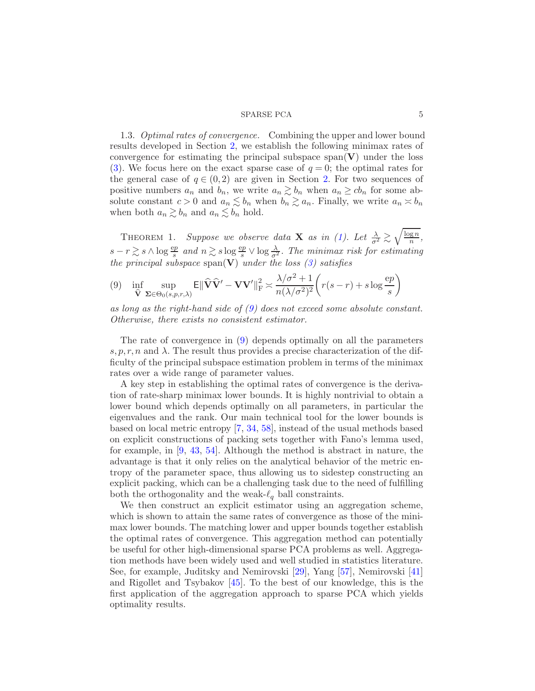1.3. Optimal rates of convergence. Combining the upper and lower bound results developed in Section [2,](#page-6-0) we establish the following minimax rates of convergence for estimating the principal subspace  $\text{span}(\mathbf{V})$  under the loss [\(3\)](#page-3-1). We focus here on the exact sparse case of  $q = 0$ ; the optimal rates for the general case of  $q \in (0,2)$  are given in Section [2.](#page-6-0) For two sequences of positive numbers  $a_n$  and  $b_n$ , we write  $a_n \geq b_n$  when  $a_n \geq cb_n$  for some absolute constant  $c > 0$  and  $a_n \lesssim b_n$  when  $b_n \gtrsim a_n$ . Finally, we write  $a_n \asymp b_n$ when both  $a_n \gtrsim b_n$  and  $a_n \lesssim b_n$  hold.

THEOREM 1. Suppose we observe data **X** as in [\(1\)](#page-2-1). Let  $\frac{\lambda}{\sigma^2} \gtrsim \sqrt{\frac{\log n}{n}}$  $\frac{\lg n}{n},$  $s - r \gtrsim s \wedge \log \frac{ep}{s}$  and  $n \gtrsim s \log \frac{ep}{s} \vee \log \frac{\lambda}{\sigma^2}$ . The minimax risk for estimating the principal subspace span(V) under the loss  $(3)$  satisfies

<span id="page-4-0"></span>(9) 
$$
\inf_{\widehat{\mathbf{V}}} \sup_{\mathbf{\Sigma} \in \Theta_0(s,p,r,\lambda)} \mathbf{E} \|\widehat{\mathbf{V}}\widehat{\mathbf{V}}' - \mathbf{V}\mathbf{V}'\|_{\mathbf{F}}^2 \asymp \frac{\lambda/\sigma^2 + 1}{n(\lambda/\sigma^2)^2} \bigg( r(s-r) + s \log \frac{ep}{s} \bigg)
$$

as long as the right-hand side of  $(9)$  does not exceed some absolute constant. Otherwise, there exists no consistent estimator.

The rate of convergence in [\(9\)](#page-4-0) depends optimally on all the parameters s, p, r, n and  $\lambda$ . The result thus provides a precise characterization of the difficulty of the principal subspace estimation problem in terms of the minimax rates over a wide range of parameter values.

A key step in establishing the optimal rates of convergence is the derivation of rate-sharp minimax lower bounds. It is highly nontrivial to obtain a lower bound which depends optimally on all parameters, in particular the eigenvalues and the rank. Our main technical tool for the lower bounds is based on local metric entropy [\[7](#page-35-9), [34](#page-36-9), [58](#page-37-6)], instead of the usual methods based on explicit constructions of packing sets together with Fano's lemma used, for example, in [\[9](#page-35-1), [43](#page-36-2), [54](#page-37-5)]. Although the method is abstract in nature, the advantage is that it only relies on the analytical behavior of the metric entropy of the parameter space, thus allowing us to sidestep constructing an explicit packing, which can be a challenging task due to the need of fulfilling both the orthogonality and the weak- $\ell_q$  ball constraints.

We then construct an explicit estimator using an aggregation scheme, which is shown to attain the same rates of convergence as those of the minimax lower bounds. The matching lower and upper bounds together establish the optimal rates of convergence. This aggregation method can potentially be useful for other high-dimensional sparse PCA problems as well. Aggregation methods have been widely used and well studied in statistics literature. See, for example, Juditsky and Nemirovski [\[29](#page-36-10)], Yang [\[57](#page-37-7)], Nemirovski [\[41](#page-36-11)] and Rigollet and Tsybakov [\[45](#page-36-12)]. To the best of our knowledge, this is the first application of the aggregation approach to sparse PCA which yields optimality results.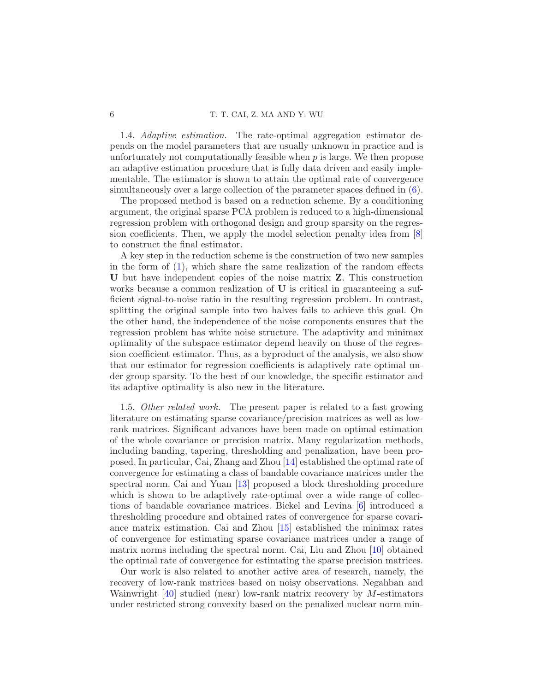# 6 T. T. CAI, Z. MA AND Y. WU

1.4. Adaptive estimation. The rate-optimal aggregation estimator depends on the model parameters that are usually unknown in practice and is unfortunately not computationally feasible when  $p$  is large. We then propose an adaptive estimation procedure that is fully data driven and easily implementable. The estimator is shown to attain the optimal rate of convergence simultaneously over a large collection of the parameter spaces defined in [\(6\)](#page-3-2).

The proposed method is based on a reduction scheme. By a conditioning argument, the original sparse PCA problem is reduced to a high-dimensional regression problem with orthogonal design and group sparsity on the regression coefficients. Then, we apply the model selection penalty idea from [\[8](#page-35-10)] to construct the final estimator.

A key step in the reduction scheme is the construction of two new samples in the form of  $(1)$ , which share the same realization of the random effects U but have independent copies of the noise matrix Z. This construction works because a common realization of U is critical in guaranteeing a sufficient signal-to-noise ratio in the resulting regression problem. In contrast, splitting the original sample into two halves fails to achieve this goal. On the other hand, the independence of the noise components ensures that the regression problem has white noise structure. The adaptivity and minimax optimality of the subspace estimator depend heavily on those of the regression coefficient estimator. Thus, as a byproduct of the analysis, we also show that our estimator for regression coefficients is adaptively rate optimal under group sparsity. To the best of our knowledge, the specific estimator and its adaptive optimality is also new in the literature.

1.5. Other related work. The present paper is related to a fast growing literature on estimating sparse covariance/precision matrices as well as lowrank matrices. Significant advances have been made on optimal estimation of the whole covariance or precision matrix. Many regularization methods, including banding, tapering, thresholding and penalization, have been proposed. In particular, Cai, Zhang and Zhou [\[14\]](#page-35-11) established the optimal rate of convergence for estimating a class of bandable covariance matrices under the spectral norm. Cai and Yuan [\[13\]](#page-35-12) proposed a block thresholding procedure which is shown to be adaptively rate-optimal over a wide range of collections of bandable covariance matrices. Bickel and Levina [\[6\]](#page-34-5) introduced a thresholding procedure and obtained rates of convergence for sparse covariance matrix estimation. Cai and Zhou [\[15](#page-35-7)] established the minimax rates of convergence for estimating sparse covariance matrices under a range of matrix norms including the spectral norm. Cai, Liu and Zhou [\[10\]](#page-35-13) obtained the optimal rate of convergence for estimating the sparse precision matrices.

Our work is also related to another active area of research, namely, the recovery of low-rank matrices based on noisy observations. Negahban and Wainwright  $[40]$  studied (near) low-rank matrix recovery by M-estimators under restricted strong convexity based on the penalized nuclear norm min-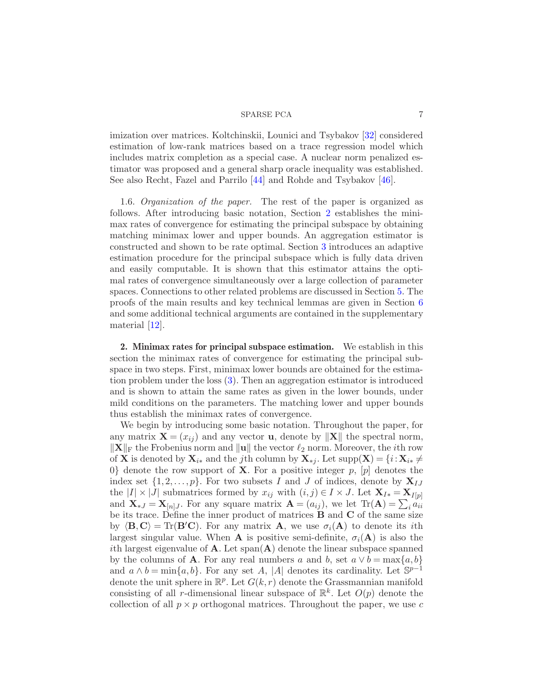imization over matrices. Koltchinskii, Lounici and Tsybakov [\[32](#page-36-14)] considered estimation of low-rank matrices based on a trace regression model which includes matrix completion as a special case. A nuclear norm penalized estimator was proposed and a general sharp oracle inequality was established. See also Recht, Fazel and Parrilo [\[44](#page-36-15)] and Rohde and Tsybakov [\[46](#page-36-16)].

1.6. Organization of the paper. The rest of the paper is organized as follows. After introducing basic notation, Section [2](#page-6-0) establishes the minimax rates of convergence for estimating the principal subspace by obtaining matching minimax lower and upper bounds. An aggregation estimator is constructed and shown to be rate optimal. Section [3](#page-12-0) introduces an adaptive estimation procedure for the principal subspace which is fully data driven and easily computable. It is shown that this estimator attains the optimal rates of convergence simultaneously over a large collection of parameter spaces. Connections to other related problems are discussed in Section [5.](#page-20-0) The proofs of the main results and key technical lemmas are given in Section [6](#page-21-0) and some additional technical arguments are contained in the supplementary material [\[12\]](#page-35-8).

<span id="page-6-0"></span>2. Minimax rates for principal subspace estimation. We establish in this section the minimax rates of convergence for estimating the principal subspace in two steps. First, minimax lower bounds are obtained for the estimation problem under the loss [\(3\)](#page-3-1). Then an aggregation estimator is introduced and is shown to attain the same rates as given in the lower bounds, under mild conditions on the parameters. The matching lower and upper bounds thus establish the minimax rates of convergence.

We begin by introducing some basic notation. Throughout the paper, for any matrix  $\mathbf{X} = (x_{ij})$  and any vector **u**, denote by  $\|\mathbf{X}\|$  the spectral norm,  $\|\mathbf{X}\|_{\text{F}}$  the Frobenius norm and  $\|\mathbf{u}\|$  the vector  $\ell_2$  norm. Moreover, the *i*th row of **X** is denoted by  $\mathbf{X}_{i*}$  and the jth column by  $\mathbf{X}_{*i}$ . Let  $supp(\mathbf{X}) = \{i : \mathbf{X}_{i*} \neq \emptyset\}$ 0} denote the row support of **X**. For a positive integer  $p$ ,  $[p]$  denotes the index set  $\{1, 2, \ldots, p\}$ . For two subsets I and J of indices, denote by  $X_{I,I}$ the  $|I| \times |J|$  submatrices formed by  $x_{ij}$  with  $(i, j) \in I \times J$ . Let  $\mathbf{X}_{I*} = \mathbf{X}_{I[p]}$ and  $\mathbf{X}_{*J} = \mathbf{X}_{[n]J}$ . For any square matrix  $\mathbf{A} = (a_{ij})$ , we let  $\text{Tr}(\mathbf{A}) = \sum_i a_{ii}$ be its trace. Define the inner product of matrices  $\bf{B}$  and  $\bf{C}$  of the same size by  $\langle \mathbf{B}, \mathbf{C} \rangle = \text{Tr}(\mathbf{B}'\mathbf{C})$ . For any matrix **A**, we use  $\sigma_i(\mathbf{A})$  to denote its *i*th largest singular value. When **A** is positive semi-definite,  $\sigma_i(\mathbf{A})$  is also the ith largest eigenvalue of  $\bf{A}$ . Let span $(\bf{A})$  denote the linear subspace spanned by the columns of **A**. For any real numbers a and b, set  $a \vee b = \max\{a, b\}$ and  $a \wedge b = \min\{a, b\}$ . For any set A, |A| denotes its cardinality. Let  $\mathbb{S}^{p-1}$ denote the unit sphere in  $\mathbb{R}^p$ . Let  $G(k,r)$  denote the Grassmannian manifold consisting of all r-dimensional linear subspace of  $\mathbb{R}^k$ . Let  $O(p)$  denote the collection of all  $p \times p$  orthogonal matrices. Throughout the paper, we use c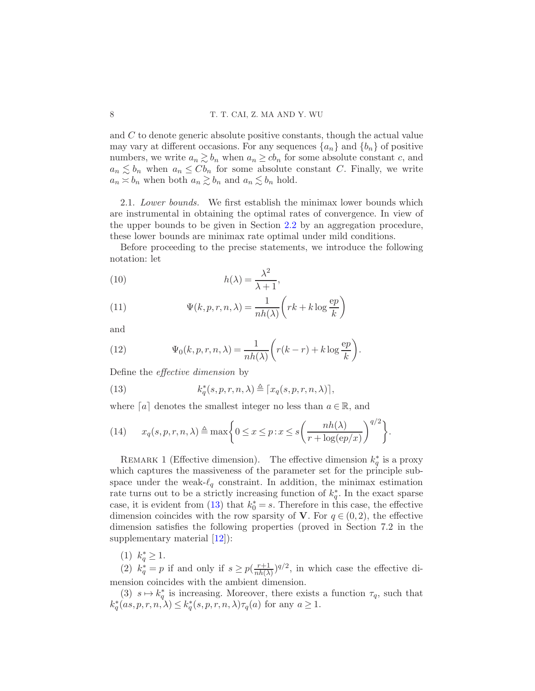and C to denote generic absolute positive constants, though the actual value may vary at different occasions. For any sequences  $\{a_n\}$  and  $\{b_n\}$  of positive numbers, we write  $a_n \gtrsim b_n$  when  $a_n \geq cb_n$  for some absolute constant c, and  $a_n \lesssim b_n$  when  $a_n \leq Cb_n$  for some absolute constant C. Finally, we write  $a_n \approx b_n$  when both  $a_n \gtrsim b_n$  and  $a_n \lesssim b_n$  hold.

<span id="page-7-2"></span>2.1. Lower bounds. We first establish the minimax lower bounds which are instrumental in obtaining the optimal rates of convergence. In view of the upper bounds to be given in Section [2.2](#page-9-0) by an aggregation procedure, these lower bounds are minimax rate optimal under mild conditions.

Before proceeding to the precise statements, we introduce the following notation: let

<span id="page-7-1"></span>(10) 
$$
h(\lambda) = \frac{\lambda^2}{\lambda + 1},
$$

(11) 
$$
\Psi(k, p, r, n, \lambda) = \frac{1}{nh(\lambda)} \left( rk + k \log \frac{ep}{k} \right)
$$

and

<span id="page-7-3"></span>(12) 
$$
\Psi_0(k, p, r, n, \lambda) = \frac{1}{nh(\lambda)} \left( r(k-r) + k \log \frac{ep}{k} \right).
$$

Define the effective dimension by

<span id="page-7-0"></span>(13) 
$$
k_q^*(s, p, r, n, \lambda) \triangleq \lceil x_q(s, p, r, n, \lambda) \rceil,
$$

where  $[a]$  denotes the smallest integer no less than  $a \in \mathbb{R}$ , and

<span id="page-7-4"></span>(14) 
$$
x_q(s, p, r, n, \lambda) \triangleq \max \bigg\{ 0 \leq x \leq p : x \leq s \bigg( \frac{nh(\lambda)}{r + \log(ep/x)} \bigg)^{q/2} \bigg\}.
$$

<span id="page-7-5"></span>REMARK 1 (Effective dimension). The effective dimension  $k_q^*$  is a proxy which captures the massiveness of the parameter set for the principle subspace under the weak- $\ell_q$  constraint. In addition, the minimax estimation rate turns out to be a strictly increasing function of  $k_q^*$ . In the exact sparse case, it is evident from [\(13\)](#page-7-0) that  $k_0^* = s$ . Therefore in this case, the effective dimension coincides with the row sparsity of V. For  $q \in (0, 2)$ , the effective dimension satisfies the following properties (proved in Section 7.2 in the supplementary material [\[12](#page-35-8)]):

(1)  $k_q^* \geq 1$ .

(2)  $k_q^* = p$  if and only if  $s \ge p(\frac{r+1}{nh(\lambda)})$  $\frac{r+1}{nh(\lambda)}$  )<sup>*q*/2</sup>, in which case the effective dimension coincides with the ambient dimension.

(3)  $s \mapsto k_q^*$  is increasing. Moreover, there exists a function  $\tau_q$ , such that  $k_q^*(as, p, r, n, \lambda) \leq k_q^*(s, p, r, n, \lambda) \tau_q(a)$  for any  $a \geq 1$ .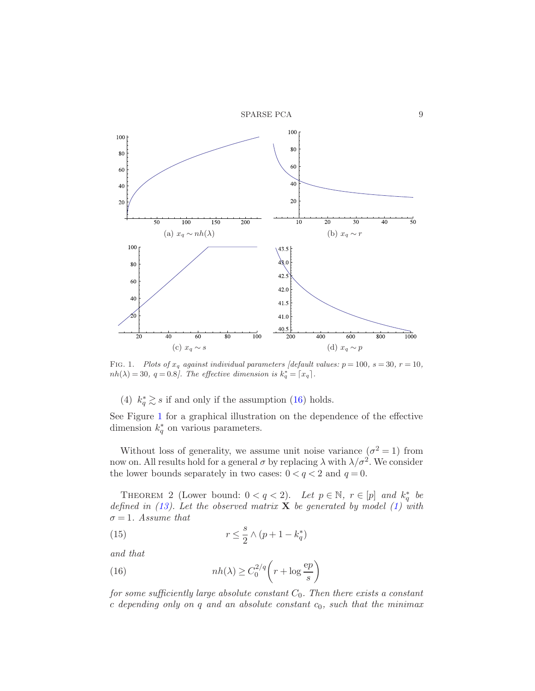SPARSE PCA 9



<span id="page-8-1"></span>FIG. 1. Plots of  $x_q$  against individual parameters [default values:  $p = 100$ ,  $s = 30$ ,  $r = 10$ ,  $nh(\lambda) = 30, q = 0.8$ . The effective dimension is  $k_q^* = \lceil x_q \rceil$ .

(4)  $k_q^* \gtrsim s$  if and only if the assumption [\(16\)](#page-8-0) holds.

See Figure [1](#page-8-1) for a graphical illustration on the dependence of the effective dimension  $k_q^*$  on various parameters.

Without loss of generality, we assume unit noise variance  $(\sigma^2 = 1)$  from now on. All results hold for a general  $\sigma$  by replacing  $\lambda$  with  $\lambda/\sigma^2$ . We consider the lower bounds separately in two cases:  $0 < q < 2$  and  $q = 0$ .

<span id="page-8-2"></span>THEOREM 2 (Lower bound:  $0 < q < 2$ ). Let  $p \in \mathbb{N}$ ,  $r \in [p]$  and  $k_q^*$  be defined in  $(13)$ . Let the observed matrix **X** be generated by model  $(1)$  with  $\sigma = 1$ . Assume that

(15) 
$$
r \leq \frac{s}{2} \wedge (p+1-k_q^*)
$$

and that

<span id="page-8-0"></span>(16) 
$$
nh(\lambda) \ge C_0^{2/q} \left( r + \log \frac{ep}{s} \right)
$$

for some sufficiently large absolute constant  $C_0$ . Then there exists a constant c depending only on q and an absolute constant  $c_0$ , such that the minimax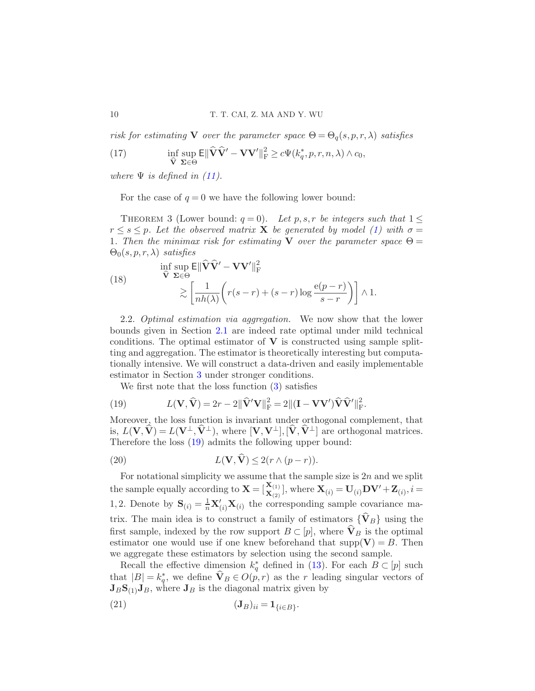risk for estimating **V** over the parameter space  $\Theta = \Theta_a(s, p, r, \lambda)$  satisfies

(17) 
$$
\inf_{\widehat{\mathbf{V}}} \sup_{\Sigma \in \Theta} \mathsf{E} \|\widehat{\mathbf{V}}\widehat{\mathbf{V}}' - \mathbf{V}\mathbf{V}'\|_{\mathrm{F}}^2 \ge c\Psi(k_q^*, p, r, n, \lambda) \wedge c_0,
$$

where  $\Psi$  is defined in [\(11\)](#page-7-1).

<span id="page-9-3"></span>For the case of  $q = 0$  we have the following lower bound:

THEOREM 3 (Lower bound:  $q = 0$ ). Let p, s, r be integers such that  $1 \leq$  $r \leq s \leq p$ . Let the observed matrix **X** be generated by model [\(1\)](#page-2-1) with  $\sigma =$ 1. Then the minimax risk for estimating V over the parameter space  $\Theta =$  $\Theta_0(s, p, r, \lambda)$  satisfies

<span id="page-9-2"></span>(18) 
$$
\inf_{\widehat{\mathbf{V}}} \sup_{\Sigma \in \Theta} \mathsf{E} \|\widehat{\mathbf{V}}\widehat{\mathbf{V}}' - \mathbf{V}\mathbf{V}'\|_{\mathrm{F}}^{2} \leq \left[\frac{1}{nh(\lambda)} \left(r(s-r) + (s-r)\log\frac{\mathrm{e}(p-r)}{s-r}\right)\right] \wedge 1.
$$

<span id="page-9-0"></span>2.2. Optimal estimation via aggregation. We now show that the lower bounds given in Section [2.1](#page-7-2) are indeed rate optimal under mild technical conditions. The optimal estimator of  $V$  is constructed using sample splitting and aggregation. The estimator is theoretically interesting but computationally intensive. We will construct a data-driven and easily implementable estimator in Section [3](#page-12-0) under stronger conditions.

<span id="page-9-1"></span>We first note that the loss function [\(3\)](#page-3-1) satisfies

(19) 
$$
L(\mathbf{V}, \hat{\mathbf{V}}) = 2r - 2\|\hat{\mathbf{V}}'\mathbf{V}\|_{\text{F}}^2 = 2\|(\mathbf{I} - \mathbf{V}\mathbf{V}')\hat{\mathbf{V}}\hat{\mathbf{V}}'\|_{\text{F}}^2.
$$

Moreover, the loss function is invariant under orthogonal complement, that is,  $L(V, \hat{V}) = L(V^{\perp}, \hat{V}^{\perp}),$  where  $[V, V^{\perp}], [\hat{V}, \hat{V}^{\perp}]$  are orthogonal matrices. Therefore the loss [\(19\)](#page-9-1) admits the following upper bound:

<span id="page-9-5"></span>(20) 
$$
L(\mathbf{V}, \mathbf{V}) \leq 2(r \wedge (p-r)).
$$

For notational simplicity we assume that the sample size is  $2n$  and we split the sample equally according to  $\mathbf{X} = [\begin{bmatrix} \mathbf{X}_{(1)} \\ \mathbf{X}_{(2)} \end{bmatrix}]$ , where  $\mathbf{X}_{(i)} = \mathbf{U}_{(i)}\mathbf{D}\mathbf{V}' + \mathbf{Z}_{(i)}, i =$ 1,2. Denote by  $\mathbf{S}_{(i)} = \frac{1}{n} \mathbf{X}'_{(i)} \mathbf{X}_{(i)}$  the corresponding sample covariance matrix. The main idea is to construct a family of estimators  $\{\widehat{\mathbf{V}}_B\}$  using the first sample, indexed by the row support  $B\subset [p]$ , where  $\hat{\mathbf{V}}_B$  is the optimal estimator one would use if one knew beforehand that  $\text{supp}(\mathbf{V}) = B$ . Then we aggregate these estimators by selection using the second sample.

Recall the effective dimension  $k_q^*$  defined in [\(13\)](#page-7-0). For each  $B \subset [p]$  such that  $|B| = k_q^*$ , we define  $\mathbf{V}_B \in O(p,r)$  as the r leading singular vectors of  $J_B S_{(1)} J_B$ , where  $J_B$  is the diagonal matrix given by

<span id="page-9-4"></span>
$$
(21) \t\t\t (\mathbf{J}_B)_{ii} = \mathbf{1}_{\{i \in B\}}.
$$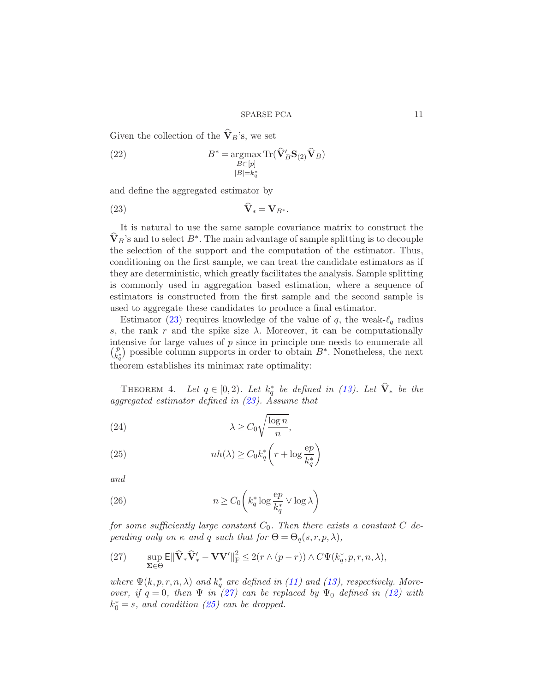Given the collection of the  $\widehat{\mathbf{V}}_B$ 's, we set

<span id="page-10-3"></span>(22) 
$$
B^* = \operatorname*{argmax}_{B \subset [p]} \operatorname{Tr}(\hat{\mathbf{V}}_B' \mathbf{S}_{(2)} \hat{\mathbf{V}}_B)
$$

$$
|B|=k_q^*
$$

and define the aggregated estimator by

<span id="page-10-0"></span>
$$
\mathbf{V}_{*} = \mathbf{V}_{B^{*}}.
$$

It is natural to use the same sample covariance matrix to construct the  $\mathbf{V}_B$ 's and to select  $B^*$ . The main advantage of sample splitting is to decouple the selection of the support and the computation of the estimator. Thus, conditioning on the first sample, we can treat the candidate estimators as if they are deterministic, which greatly facilitates the analysis. Sample splitting is commonly used in aggregation based estimation, where a sequence of estimators is constructed from the first sample and the second sample is used to aggregate these candidates to produce a final estimator.

Estimator [\(23\)](#page-10-0) requires knowledge of the value of q, the weak- $\ell_q$  radius s, the rank r and the spike size  $\lambda$ . Moreover, it can be computationally intensive for large values of  $p$  since in principle one needs to enumerate all p  $\begin{pmatrix} p \\ k_{q}^* \end{pmatrix}$  possible column supports in order to obtain  $B^*$ . Nonetheless, the next theorem establishes its minimax rate optimality:

THEOREM 4. Let  $q \in [0,2)$ . Let  $k_q^*$  be defined in [\(13\)](#page-7-0). Let  $\mathbf{V}_*$  be the aggregated estimator defined in  $(23)$ . Assume that

<span id="page-10-2"></span>(24) 
$$
\lambda \ge C_0 \sqrt{\frac{\log n}{n}},
$$

(25) 
$$
nh(\lambda) \ge C_0 k_q^* \left( r + \log \frac{ep}{k_q^*} \right)
$$

and

<span id="page-10-4"></span>(26) 
$$
n \ge C_0 \left( k_q^* \log \frac{ep}{k_q^*} \vee \log \lambda \right)
$$

for some sufficiently large constant  $C_0$ . Then there exists a constant C depending only on  $\kappa$  and q such that for  $\Theta = \Theta_q(s,r,p,\lambda)$ ,

<span id="page-10-1"></span>(27) 
$$
\sup_{\Sigma \in \Theta} \mathsf{E} \|\widehat{\mathbf{V}}_* \widehat{\mathbf{V}}'_* - \mathbf{V} \mathbf{V}'\|_{\mathrm{F}}^2 \leq 2(r \wedge (p-r)) \wedge C \Psi(k_q^*, p, r, n, \lambda),
$$

where  $\Psi(k, p, r, n, \lambda)$  and  $k_q^*$  are defined in [\(11\)](#page-7-1) and [\(13\)](#page-7-0), respectively. Moreover, if  $q = 0$ , then  $\Psi$  in [\(27\)](#page-10-1) can be replaced by  $\Psi_0$  defined in [\(12\)](#page-7-3) with  $k_0^* = s$ , and condition [\(25\)](#page-10-2) can be dropped.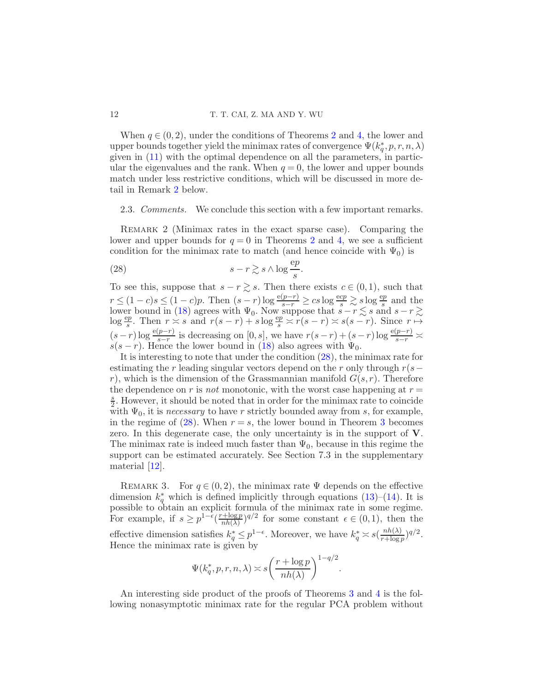When  $q \in (0, 2)$  $q \in (0, 2)$  $q \in (0, 2)$ , under the conditions of Theorems 2 and [4,](#page-10-1) the lower and upper bounds together yield the minimax rates of convergence  $\Psi(k_q^*, p, r, n, \lambda)$ given in [\(11\)](#page-7-1) with the optimal dependence on all the parameters, in particular the eigenvalues and the rank. When  $q = 0$ , the lower and upper bounds match under less restrictive conditions, which will be discussed in more detail in Remark [2](#page-11-0) below.

<span id="page-11-0"></span>2.3. *Comments*. We conclude this section with a few important remarks.

REMARK 2 (Minimax rates in the exact sparse case). Comparing the lower and upper bounds for  $q = 0$  in Theorems [2](#page-8-2) and [4,](#page-10-1) we see a sufficient condition for the minimax rate to match (and hence coincide with  $\Psi_0$ ) is

<span id="page-11-1"></span>(28) 
$$
s - r \gtrsim s \wedge \log \frac{ep}{s}.
$$

To see this, suppose that  $s - r \gtrsim s$ . Then there exists  $c \in (0,1)$ , such that  $r \leq (1-c)s \leq (1-c)p$ . Then  $(s-r)\log\frac{e(p-r)}{s-r} \geq cs\log\frac{ecp}{s} \geq s\log\frac{ep}{s}$  and the lower bound in [\(18\)](#page-9-2) agrees with  $\Psi_0$ . Now suppose that  $s - r \lesssim s$  and  $s - r \gtrsim$  $\log \frac{ep}{s}$ . Then  $r \geq s$  and  $r(s-r) + s \log \frac{ep}{s} \geq r(s-r) \geq s(s-r)$ . Since  $r \mapsto$  $(s-r)\log\frac{e(p-r)}{s-r}$  is decreasing on  $[0, s]$ , we have  $r(s-r)+(s-r)\log\frac{e(p-r)}{s-r}$  $s(s-r)$ . Hence the lower bound in [\(18\)](#page-9-2) also agrees with  $\Psi_0$ .

It is interesting to note that under the condition [\(28\)](#page-11-1), the minimax rate for estimating the r leading singular vectors depend on the r only through  $r(s$ r), which is the dimension of the Grassmannian manifold  $G(s, r)$ . Therefore the dependence on r is not monotonic, with the worst case happening at  $r =$ s  $\frac{s}{2}$ . However, it should be noted that in order for the minimax rate to coincide with  $\Psi_0$ , it is *necessary* to have r strictly bounded away from s, for example, in the regime of  $(28)$ . When  $r = s$ , the lower bound in Theorem [3](#page-9-3) becomes zero. In this degenerate case, the only uncertainty is in the support of V. The minimax rate is indeed much faster than  $\Psi_0$ , because in this regime the support can be estimated accurately. See Section 7.3 in the supplementary material [\[12\]](#page-35-8).

REMARK 3. For  $q \in (0, 2)$ , the minimax rate  $\Psi$  depends on the effective dimension  $k_q^*$  which is defined implicitly through equations [\(13\)](#page-7-0)–[\(14\)](#page-7-4). It is possible to obtain an explicit formula of the minimax rate in some regime. For example, if  $s \geq p^{1-\tilde{\epsilon}} \left( \frac{r + \log p}{nh(\lambda)} \right)$  $\frac{\eta + \log p}{n h(\lambda)}$  for some constant  $\epsilon \in (0, 1)$ , then the effective dimension satisfies  $k_q^* \leq p^{1-\epsilon}$ . Moreover, we have  $k_q^* \approx s(\frac{nh(\lambda)}{r + \log n})$  $\frac{nh(\lambda)}{r+\log p}$  $)^{q/2}.$ Hence the minimax rate is given by

$$
\Psi(k_q^*, p, r, n, \lambda) \asymp s \left(\frac{r + \log p}{nh(\lambda)}\right)^{1 - q/2}.
$$

An interesting side product of the proofs of Theorems [3](#page-9-3) and [4](#page-10-1) is the following nonasymptotic minimax rate for the regular PCA problem without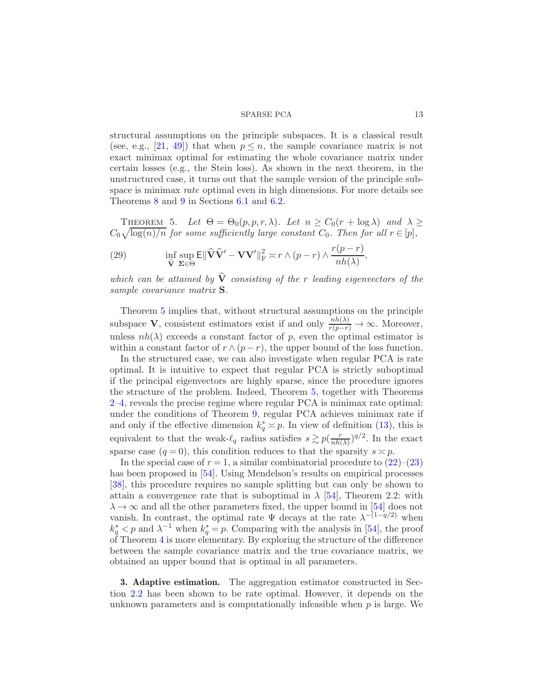structural assumptions on the principle subspaces. It is a classical result (see, e.g., [\[21,](#page-35-14) [49](#page-37-8)]) that when  $p \leq n$ , the sample covariance matrix is not exact minimax optimal for estimating the whole covariance matrix under certain losses (e.g., the Stein loss). As shown in the next theorem, in the unstructured case, it turns out that the sample version of the principle subspace is minimax *rate* optimal even in high dimensions. For more details see Theorems [8](#page-21-1) and [9](#page-24-0) in Sections [6.1](#page-21-2) and [6.2.](#page-24-1)

<span id="page-12-1"></span>THEOREM 5. Let  $\Theta = \Theta_0(p, p, r, \lambda)$ . Let  $n \geq C_0(r + \log \lambda)$  and  $\lambda \geq$  $C_0\sqrt{\log(n)/n}$  for some sufficiently large constant  $C_0$ . Then for all  $r \in [p]$ ,

(29) 
$$
\inf_{\widehat{\mathbf{V}}} \sup_{\mathbf{\Sigma} \in \Theta} \mathsf{E} \|\widehat{\mathbf{V}}\widehat{\mathbf{V}}' - \mathbf{V}\mathbf{V}'\|_{\mathrm{F}}^2 \asymp r \wedge (p-r) \wedge \frac{r(p-r)}{nh(\lambda)},
$$

which can be attained by  $\widehat{V}$  consisting of the r leading eigenvectors of the sample covariance matrix S.

Theorem [5](#page-12-1) implies that, without structural assumptions on the principle subspace **V**, consistent estimators exist if and only  $\frac{nh(\lambda)}{r(p-r)} \to \infty$ . Moreover, unless  $nh(\lambda)$  exceeds a constant factor of p, even the optimal estimator is within a constant factor of  $r \wedge (p-r)$ , the upper bound of the loss function.

In the structured case, we can also investigate when regular PCA is rate optimal. It is intuitive to expect that regular PCA is strictly suboptimal if the principal eigenvectors are highly sparse, since the procedure ignores the structure of the problem. Indeed, Theorem [5,](#page-12-1) together with Theorems [2](#page-8-2)[–4,](#page-10-1) reveals the precise regime where regular PCA is minimax rate optimal: under the conditions of Theorem [9,](#page-24-0) regular PCA achieves minimax rate if and only if the effective dimension  $k_q^* \approx p$ . In view of definition [\(13\)](#page-7-0), this is equivalent to that the weak- $\ell_q$  radius satisfies  $s \gtrsim p(\frac{r}{nh}$  $\frac{r}{nh(\lambda)}$ )<sup>*q*/2</sup>. In the exact sparse case  $(q = 0)$ , this condition reduces to that the sparsity  $s \approx p$ .

In the special case of  $r = 1$ , a similar combinatorial procedure to  $(22)$ – $(23)$ has been proposed in [\[54](#page-37-5)]. Using Mendelson's results on empirical processes [\[38\]](#page-36-17), this procedure requires no sample splitting but can only be shown to attain a convergence rate that is suboptimal in  $\lambda$  [\[54](#page-37-5)], Theorem 2.2: with  $\lambda \rightarrow \infty$  and all the other parameters fixed, the upper bound in [\[54](#page-37-5)] does not vanish. In contrast, the optimal rate  $\Psi$  decays at the rate  $\lambda^{-(1-q/2)}$  when  $k_q^* < p$  and  $\lambda^{-1}$  when  $k_q^* = p$ . Comparing with the analysis in [\[54](#page-37-5)], the proof of Theorem [4](#page-10-1) is more elementary. By exploring the structure of the difference between the sample covariance matrix and the true covariance matrix, we obtained an upper bound that is optimal in all parameters.

<span id="page-12-0"></span>3. Adaptive estimation. The aggregation estimator constructed in Section [2.2](#page-9-0) has been shown to be rate optimal. However, it depends on the unknown parameters and is computationally infeasible when  $p$  is large. We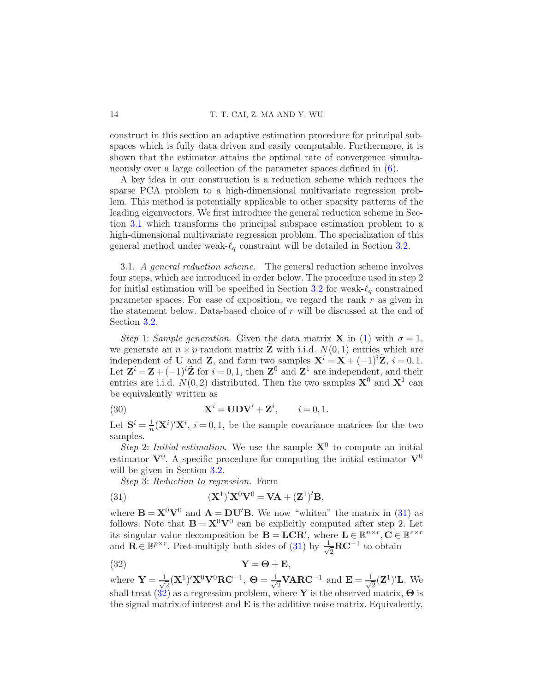construct in this section an adaptive estimation procedure for principal subspaces which is fully data driven and easily computable. Furthermore, it is shown that the estimator attains the optimal rate of convergence simultaneously over a large collection of the parameter spaces defined in [\(6\)](#page-3-2).

A key idea in our construction is a reduction scheme which reduces the sparse PCA problem to a high-dimensional multivariate regression problem. This method is potentially applicable to other sparsity patterns of the leading eigenvectors. We first introduce the general reduction scheme in Section [3.1](#page-13-0) which transforms the principal subspace estimation problem to a high-dimensional multivariate regression problem. The specialization of this general method under weak- $\ell_q$  constraint will be detailed in Section [3.2.](#page-15-0)

<span id="page-13-0"></span>3.1. A general reduction scheme. The general reduction scheme involves four steps, which are introduced in order below. The procedure used in step 2 for initial estimation will be specified in Section [3.2](#page-15-0) for weak- $\ell_a$  constrained parameter spaces. For ease of exposition, we regard the rank  $r$  as given in the statement below. Data-based choice of  $r$  will be discussed at the end of Section [3.2.](#page-15-0)

Step 1: Sample generation. Given the data matrix **X** in [\(1\)](#page-2-1) with  $\sigma = 1$ , we generate an  $n \times p$  random matrix **Z** with i.i.d.  $N(0, 1)$  entries which are independent of **U** and **Z**, and form two samples  $X^i = X + (-1)^i \mathbb{Z}$ ,  $i = 0, 1$ . Let  $\mathbf{Z}^i = \mathbf{Z} + (-1)^i \tilde{\mathbf{Z}}$  for  $i = 0, 1$ , then  $\mathbf{Z}^0$  and  $\mathbf{Z}^1$  are independent, and their entries are i.i.d.  $N(0, 2)$  distributed. Then the two samples  $\mathbf{X}^0$  and  $\mathbf{X}^1$  can be equivalently written as

(30) 
$$
\mathbf{X}^{i} = \mathbf{U} \mathbf{D} \mathbf{V}' + \mathbf{Z}^{i}, \qquad i = 0, 1.
$$

Let  $S^i = \frac{1}{n}$  $\frac{1}{n}(\mathbf{X}^i)' \mathbf{X}^i$ ,  $i = 0, 1$ , be the sample covariance matrices for the two samples.

Step 2: Initial estimation. We use the sample  $X^0$  to compute an initial estimator  $V^0$ . A specific procedure for computing the initial estimator  $V^0$ will be given in Section [3.2.](#page-15-0)

<span id="page-13-1"></span>Step 3: Reduction to regression. Form

(31) 
$$
(\mathbf{X}^1)'\mathbf{X}^0\mathbf{V}^0 = \mathbf{V}\mathbf{A} + (\mathbf{Z}^1)'\mathbf{B},
$$

where  $\mathbf{B} = \mathbf{X}^0 \mathbf{V}^0$  and  $\mathbf{A} = \mathbf{D} \mathbf{U}' \mathbf{B}$ . We now "whiten" the matrix in [\(31\)](#page-13-1) as follows. Note that  $\mathbf{B} = \mathbf{X}^0 \mathbf{V}^0$  can be explicitly computed after step 2. Let its singular value decomposition be  $\mathbf{B} = \mathbf{LCR}'$ , where  $\mathbf{L} \in \mathbb{R}^{n \times r}$ ,  $\mathbf{C} \in \mathbb{R}^{r \times r}$ and  $\mathbf{R} \in \mathbb{R}^{p \times r}$ . Post-multiply both sides of [\(31\)](#page-13-1) by  $\frac{1}{\sqrt{2}}$  $\frac{1}{2}$ **RC**<sup>-1</sup> to obtain

<span id="page-13-2"></span>
$$
Y = \Theta + E,
$$

where  $\mathbf{Y} = \frac{1}{\sqrt{2}}$  $\frac{1}{2}(\mathbf{X}^1)'\mathbf{X}^0\mathbf{V}^0\mathbf{R}\mathbf{C}^{-1},~\mathbf{\Theta}=\frac{1}{\sqrt{2}}$  $\frac{1}{2}$ VARC<sup>-1</sup> and **E** =  $\frac{1}{\sqrt{2}}$  $\frac{1}{2}(\mathbf{Z}^1)'$ **L**. We shall treat [\(32\)](#page-13-2) as a regression problem, where Y is the observed matrix,  $\Theta$  is the signal matrix of interest and  $\bf{E}$  is the additive noise matrix. Equivalently,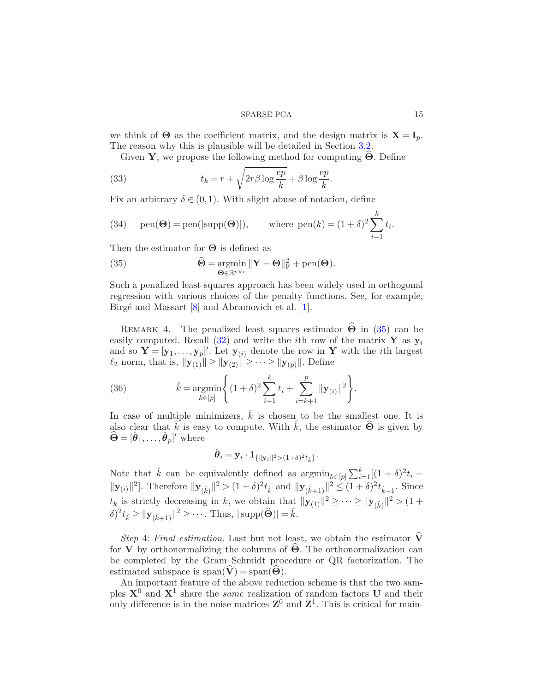we think of  $\Theta$  as the coefficient matrix, and the design matrix is  $\mathbf{X} = \mathbf{I}_n$ . The reason why this is plausible will be detailed in Section [3.2.](#page-15-0)

<span id="page-14-1"></span>Given Y, we propose the following method for computing  $\Theta$ . Define

(33) 
$$
t_k = r + \sqrt{2r\beta \log \frac{ep}{k}} + \beta \log \frac{ep}{k}.
$$

Fix an arbitrary  $\delta \in (0,1)$ . With slight abuse of notation, define

<span id="page-14-2"></span>(34) 
$$
\text{pen}(\Theta) = \text{pen}(|\text{supp}(\Theta)|), \quad \text{where } \text{pen}(k) = (1+\delta)^2 \sum_{i=1}^k t_i.
$$

Then the estimator for  $\Theta$  is defined as

<span id="page-14-0"></span>(35) 
$$
\widehat{\Theta} = \underset{\Theta \in \mathbb{R}^{p \times r}}{\operatorname{argmin}} ||\mathbf{Y} - \Theta||_{\mathbf{F}}^2 + \operatorname{pen}(\Theta).
$$

Such a penalized least squares approach has been widely used in orthogonal regression with various choices of the penalty functions. See, for example, Birgé and Massart  $[8]$  and Abramovich et al.  $[1]$ .

REMARK 4. The penalized least squares estimator  $\Theta$  in [\(35\)](#page-14-0) can be easily computed. Recall [\(32\)](#page-13-2) and write the *i*th row of the matrix Y as  $y_i$ and so  $\mathbf{Y} = [\mathbf{y}_1, \dots, \mathbf{y}_p]'$ . Let  $\mathbf{y}_{(i)}$  denote the row in Y with the *i*th largest  $\ell_2$  norm, that is,  $\|\mathbf{y}_{(1)}\| \ge \|\mathbf{y}_{(2)}\| \ge \cdots \ge \|\mathbf{y}_{(p)}\|$ . Define

(36) 
$$
\hat{k} = \underset{k \in [p]}{\operatorname{argmin}} \left\{ (1+\delta)^2 \sum_{i=1}^k t_i + \sum_{i=k+1}^p ||\mathbf{y}_{(i)}||^2 \right\}.
$$

In case of multiple minimizers,  $\hat{k}$  is chosen to be the smallest one. It is also clear that  $\hat{k}$  is easy to compute. With  $\hat{k}$ , the estimator  $\hat{\Theta}$  is given by  $\widehat{\boldsymbol{\Theta}} = [\hat{\boldsymbol{\theta}}_1, \dots, \hat{\boldsymbol{\theta}}_p]'$  where

$$
\hat{\bm{\theta}}_i = \mathbf{y}_i \cdot \mathbf{1}_{\{\|\mathbf{y}_i\|^2 > (1+\delta)^2 t_{\hat{k}}\}}.
$$

Note that  $\hat{k}$  can be equivalently defined as  $\operatorname{argmin}_{k \in [p]} \sum_{i=1}^{k} [(1+\delta)^{2} t_{i} ||\mathbf{y}_{(i)}||^2$ . Therefore  $||\mathbf{y}_{(\hat{k})}||^2 > (1+\delta)^2 t_{\hat{k}}$  and  $||\mathbf{y}_{(\hat{k}+1)}||^2 \leq (1+\delta)^2 t_{\hat{k}+1}$ . Since  $t_k$  is strictly decreasing in k, we obtain that  $\|\mathbf{y}_{(1)}\|^2 \geq \cdots \geq \|\mathbf{y}_{(\hat{k})}\|^2 > (1 +$  $\delta)^2 t_{\hat{k}} \ge ||\mathbf{y}_{(\hat{k}+1)}||^2 \ge \cdots$ . Thus,  $|\text{supp}(\widehat{\Theta})| = \hat{k}$ .

Step 4: Final estimation. Last but not least, we obtain the estimator  $\widehat{\mathbf{V}}$ for **V** by orthonormalizing the columns of  $\Theta$ . The orthonormalization can be completed by the Gram–Schmidt procedure or QR factorization. The estimated subspace is span( $\dot{\mathbf{V}}$ ) = span( $\dot{\mathbf{\Theta}}$ ).

An important feature of the above reduction scheme is that the two samples  $X^0$  and  $X^1$  share the *same* realization of random factors U and their only difference is in the noise matrices  $\mathbb{Z}^0$  and  $\mathbb{Z}^1$ . This is critical for main-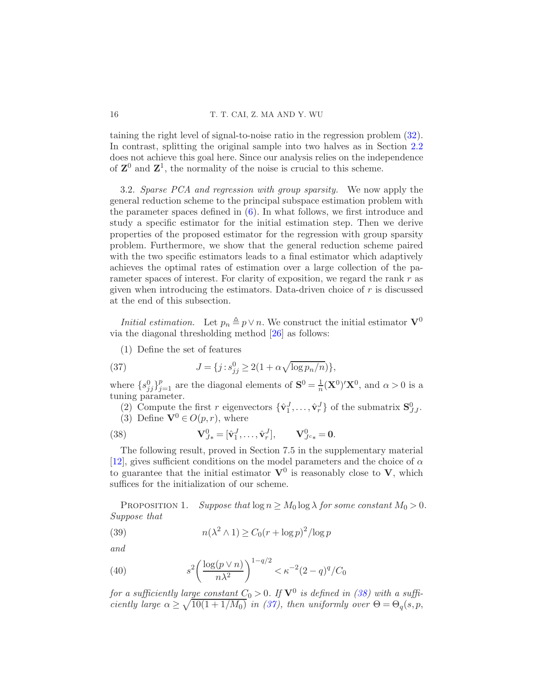taining the right level of signal-to-noise ratio in the regression problem [\(32\)](#page-13-2). In contrast, splitting the original sample into two halves as in Section [2.2](#page-9-0) does not achieve this goal here. Since our analysis relies on the independence of  $\mathbb{Z}^0$  and  $\mathbb{Z}^1$ , the normality of the noise is crucial to this scheme.

<span id="page-15-0"></span>3.2. Sparse PCA and regression with group sparsity. We now apply the general reduction scheme to the principal subspace estimation problem with the parameter spaces defined in [\(6\)](#page-3-2). In what follows, we first introduce and study a specific estimator for the initial estimation step. Then we derive properties of the proposed estimator for the regression with group sparsity problem. Furthermore, we show that the general reduction scheme paired with the two specific estimators leads to a final estimator which adaptively achieves the optimal rates of estimation over a large collection of the parameter spaces of interest. For clarity of exposition, we regard the rank  $r$  as given when introducing the estimators. Data-driven choice of  $r$  is discussed at the end of this subsection.

*Initial estimation.* Let  $p_n \triangleq p \vee n$ . We construct the initial estimator  $\mathbf{V}^0$ via the diagonal thresholding method [\[26](#page-35-3)] as follows:

<span id="page-15-2"></span>(1) Define the set of features

(37) 
$$
J = \{j : s_{jj}^0 \ge 2(1 + \alpha \sqrt{\log p_n/n})\},\,
$$

where  $\{s_{jj}^0\}_{j=1}^p$  are the diagonal elements of  $\mathbf{S}^0 = \frac{1}{n}$  $\frac{1}{n}(\mathbf{X}^0)'\mathbf{X}^0$ , and  $\alpha > 0$  is a tuning parameter.

(2) Compute the first r eigenvectors  $\{\hat{\mathbf{v}}_1^J, \ldots, \hat{\mathbf{v}}_r^J\}$  of the submatrix  $\mathbf{S}_{JJ}^0$ .

<span id="page-15-1"></span>(3) Define  $V^0 \in O(p,r)$ , where

(38) 
$$
\mathbf{V}_{J*}^{0} = [\hat{\mathbf{v}}_{1}^{J}, \dots, \hat{\mathbf{v}}_{r}^{J}], \qquad \mathbf{V}_{J^{c}*}^{0} = \mathbf{0}.
$$

The following result, proved in Section 7.5 in the supplementary material [\[12\]](#page-35-8), gives sufficient conditions on the model parameters and the choice of  $\alpha$ to guarantee that the initial estimator  $V^0$  is reasonably close to V, which suffices for the initialization of our scheme.

<span id="page-15-4"></span>PROPOSITION 1. Suppose that  $\log n \geq M_0 \log \lambda$  for some constant  $M_0 > 0$ . Suppose that

(39) 
$$
n(\lambda^2 \wedge 1) \ge C_0 (r + \log p)^2 / \log p
$$

and

<span id="page-15-3"></span>(40) 
$$
s^2 \left( \frac{\log(p \vee n)}{n \lambda^2} \right)^{1 - q/2} < \kappa^{-2} (2 - q)^q / C_0
$$

for a sufficiently large constant  $C_0 > 0$ . If  $V^0$  is defined in [\(38\)](#page-15-1) with a sufficiently large  $\alpha \geq \sqrt{10(1+1/M_0)}$  in [\(37\)](#page-15-2), then uniformly over  $\Theta = \Theta_q(s,p)$ ,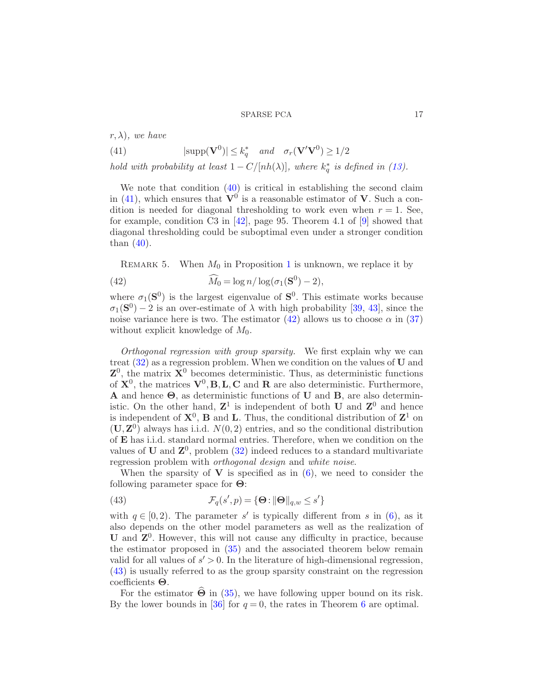$r, \lambda$ ), we have

<span id="page-16-0"></span>(41) 
$$
|\text{supp}(\mathbf{V}^0)| \le k_q^* \quad and \quad \sigma_r(\mathbf{V}'\mathbf{V}^0) \ge 1/2
$$

hold with probability at least  $1 - C/[nh(\lambda)]$ , where  $k_q^*$  is defined in [\(13\)](#page-7-0).

We note that condition  $(40)$  is critical in establishing the second claim in [\(41\)](#page-16-0), which ensures that  $V^0$  is a reasonable estimator of V. Such a condition is needed for diagonal thresholding to work even when  $r = 1$ . See, for example, condition C3 in [\[42\]](#page-36-18), page 95. Theorem 4.1 of [\[9\]](#page-35-1) showed that diagonal thresholding could be suboptimal even under a stronger condition than  $(40)$ .

<span id="page-16-4"></span><span id="page-16-1"></span>REMARK 5. When  $M_0$  in Proposition [1](#page-15-4) is unknown, we replace it by

(42) 
$$
\widehat{M}_0 = \log n / \log(\sigma_1(\mathbf{S}^0) - 2),
$$

where  $\sigma_1(\mathbf{S}^0)$  is the largest eigenvalue of  $\mathbf{S}^0$ . This estimate works because  $\sigma_1(\mathbf{S}^0) - 2$  is an over-estimate of  $\lambda$  with high probability [\[39,](#page-36-1) [43](#page-36-2)], since the noise variance here is two. The estimator  $(42)$  allows us to choose  $\alpha$  in  $(37)$ without explicit knowledge of  $M_0$ .

Orthogonal regression with group sparsity. We first explain why we can treat  $(32)$  as a regression problem. When we condition on the values of U and  $\mathbf{Z}^0$ , the matrix  $\mathbf{X}^0$  becomes deterministic. Thus, as deterministic functions of  $X^0$ , the matrices  $V^0$ , **B**, **L**, **C** and **R** are also deterministic. Furthermore, A and hence Θ, as deterministic functions of U and B, are also deterministic. On the other hand,  $\mathbb{Z}^1$  is independent of both **U** and  $\mathbb{Z}^0$  and hence is independent of  $X^0$ , **B** and **L**. Thus, the conditional distribution of  $\mathbb{Z}^1$  on  $(U, Z<sup>0</sup>)$  always has i.i.d.  $N(0, 2)$  entries, and so the conditional distribution of E has i.i.d. standard normal entries. Therefore, when we condition on the values of U and  $\mathbb{Z}^0$ , problem  $(32)$  indeed reduces to a standard multivariate regression problem with orthogonal design and white noise.

When the sparsity of  $V$  is specified as in  $(6)$ , we need to consider the following parameter space for Θ:

<span id="page-16-2"></span>(43) 
$$
\mathcal{F}_q(s', p) = \{ \Theta : ||\Theta||_{q,w} \le s' \}
$$

with  $q \in [0, 2)$ . The parameter s' is typically different from s in [\(6\)](#page-3-2), as it also depends on the other model parameters as well as the realization of  $U$  and  $Z<sup>0</sup>$ . However, this will not cause any difficulty in practice, because the estimator proposed in [\(35\)](#page-14-0) and the associated theorem below remain valid for all values of  $s' > 0$ . In the literature of high-dimensional regression, [\(43\)](#page-16-2) is usually referred to as the group sparsity constraint on the regression coefficients Θ.

<span id="page-16-3"></span>For the estimator  $\Theta$  in [\(35\)](#page-14-0), we have following upper bound on its risk. By the lower bounds in [\[36\]](#page-36-8) for  $q = 0$ , the rates in Theorem [6](#page-16-3) are optimal.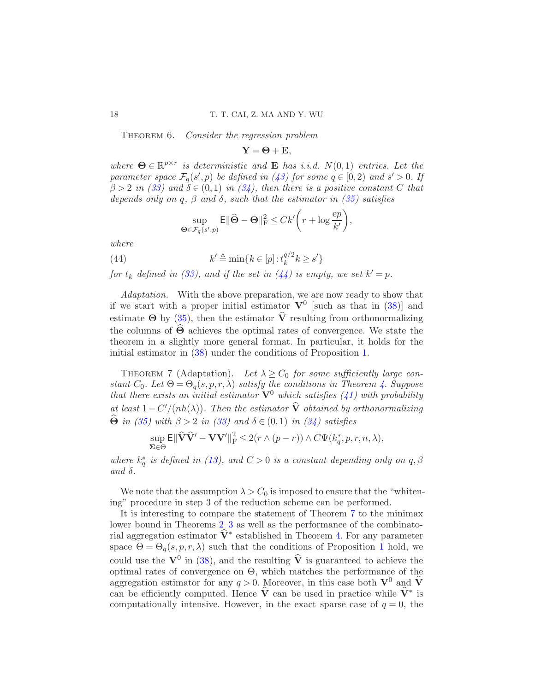THEOREM 6. Consider the regression problem

 $Y = \Theta + E$ ,

where  $\Theta \in \mathbb{R}^{p \times r}$  is deterministic and **E** has i.i.d.  $N(0, 1)$  entries. Let the parameter space  $\mathcal{F}_q(s',p)$  be defined in [\(43\)](#page-16-2) for some  $q \in [0,2)$  and  $s' > 0$ . If  $\beta > 2$  in [\(33\)](#page-14-1) and  $\delta \in (0,1)$  in [\(34\)](#page-14-2), then there is a positive constant C that depends only on q,  $\beta$  and  $\delta$ , such that the estimator in [\(35\)](#page-14-0) satisfies

<span id="page-17-0"></span>
$$
\sup_{\boldsymbol{\Theta} \in \mathcal{F}_q(s',p)} \mathsf{E} \|\widehat{\boldsymbol{\Theta}} - \boldsymbol{\Theta}\|_{\mathrm{F}}^2 \leq Ck' \bigg(r + \log \frac{\mathrm{e}p}{k'}\bigg),
$$

where

(44) 
$$
k' \triangleq \min\{k \in [p] : t_k^{q/2} k \ge s'\}
$$

for  $t_k$  defined in [\(33\)](#page-14-1), and if the set in [\(44\)](#page-17-0) is empty, we set  $k'=p$ .

Adaptation. With the above preparation, we are now ready to show that if we start with a proper initial estimator  $V^0$  [such as that in [\(38\)](#page-15-1)] and estimate  $\Theta$  by [\(35\)](#page-14-0), then the estimator  $\hat{V}$  resulting from orthonormalizing the columns of  $\hat{\Theta}$  achieves the optimal rates of convergence. We state the theorem in a slightly more general format. In particular, it holds for the initial estimator in [\(38\)](#page-15-1) under the conditions of Proposition [1.](#page-15-4)

<span id="page-17-1"></span>THEOREM 7 (Adaptation). Let  $\lambda \ge C_0$  for some sufficiently large constant  $C_0$ . Let  $\Theta = \Theta_q(s, p, r, \lambda)$  satisfy the conditions in Theorem [4.](#page-10-1) Suppose that there exists an initial estimator  $\mathbf{V}^0$  which satisfies [\(41\)](#page-16-0) with probability at least  $1 - C'/\frac{nh(\lambda)}{n}$ . Then the estimator **V** obtained by orthonormalizing  $\Theta$  in [\(35\)](#page-14-0) with  $\beta > 2$  in [\(33\)](#page-14-1) and  $\delta \in (0,1)$  in [\(34\)](#page-14-2) satisfies

$$
\sup_{\Sigma \in \Theta} \mathsf{E} \|\widehat{\mathbf{V}}\widehat{\mathbf{V}}' - \mathbf{V}\mathbf{V}'\|_{\mathrm{F}}^2 \le 2(r \wedge (p-r)) \wedge C\Psi(k_q^*, p, r, n, \lambda),
$$

where  $k_q^*$  is defined in [\(13\)](#page-7-0), and  $C > 0$  is a constant depending only on  $q, \beta$ and  $\delta$ .

We note that the assumption  $\lambda > C_0$  is imposed to ensure that the "whitening" procedure in step 3 of the reduction scheme can be performed.

It is interesting to compare the statement of Theorem [7](#page-17-1) to the minimax lower bound in Theorems [2–](#page-8-2)[3](#page-9-3) as well as the performance of the combinatorial aggregation estimator  $V^*$  established in Theorem [4.](#page-10-1) For any parameter space  $\Theta = \Theta_q(s, p, r, \lambda)$  such that the conditions of Proposition [1](#page-15-4) hold, we could use the  $\mathbf{V}^0$  in [\(38\)](#page-15-1), and the resulting  $\hat{\mathbf{V}}$  is guaranteed to achieve the optimal rates of convergence on  $\Theta$ , which matches the performance of the aggregation estimator for any  $q > 0$ . Moreover, in this case both  $V^0$  and  $\hat{V}$ can be efficiently computed. Hence  $V$  can be used in practice while  $V^*$  is computationally intensive. However, in the exact sparse case of  $q = 0$ , the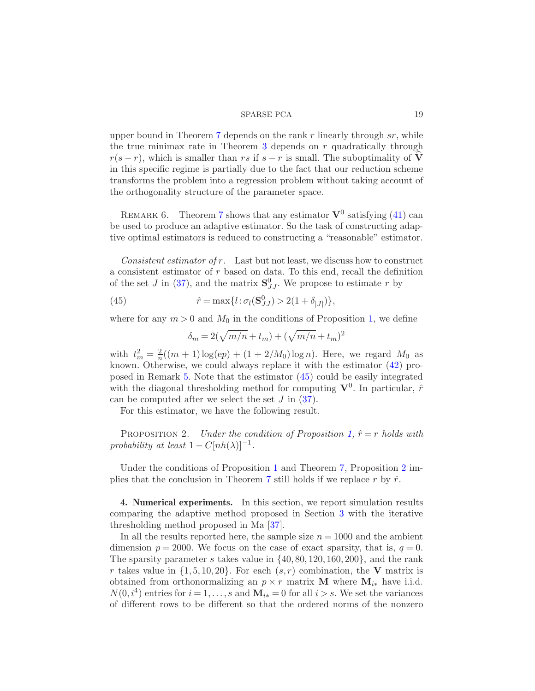upper bound in Theorem [7](#page-17-1) depends on the rank r linearly through  $sr$ , while the true minimax rate in Theorem [3](#page-9-3) depends on  $r$  quadratically through  $r(s - r)$ , which is smaller than rs if  $s - r$  is small. The suboptimality of V in this specific regime is partially due to the fact that our reduction scheme transforms the problem into a regression problem without taking account of the orthogonality structure of the parameter space.

REMARK 6. Theorem [7](#page-17-1) shows that any estimator  $V^0$  satisfying [\(41\)](#page-16-0) can be used to produce an adaptive estimator. So the task of constructing adaptive optimal estimators is reduced to constructing a "reasonable" estimator.

Consistent estimator of r. Last but not least, we discuss how to construct a consistent estimator of r based on data. To this end, recall the definition of the set J in [\(37\)](#page-15-2), and the matrix  $S_{JJ}^0$ . We propose to estimate r by

(45) 
$$
\hat{r} = \max\{l : \sigma_l(\mathbf{S}_{JJ}^0) > 2(1 + \delta_{|J|})\},\
$$

where for any  $m > 0$  and  $M_0$  in the conditions of Proposition [1,](#page-15-4) we define

<span id="page-18-1"></span><span id="page-18-0"></span>
$$
\delta_m = 2(\sqrt{m/n} + t_m) + (\sqrt{m/n} + t_m)^2
$$

with  $t_m^2 = \frac{2}{n}$  $\frac{2}{n}((m+1)\log(ep) + (1+2/M_0)\log n)$ . Here, we regard  $M_0$  as known. Otherwise, we could always replace it with the estimator [\(42\)](#page-16-1) proposed in Remark [5.](#page-16-4) Note that the estimator [\(45\)](#page-18-0) could be easily integrated with the diagonal thresholding method for computing  $V^0$ . In particular,  $\hat{r}$ can be computed after we select the set  $J$  in  $(37)$ .

For this estimator, we have the following result.

PROPOSITION 2. Under the condition of Proposition [1,](#page-15-4)  $\hat{r} = r$  holds with probability at least  $1 - C[nh(\lambda)]^{-1}$ .

Under the conditions of Proposition [1](#page-15-4) and Theorem [7,](#page-17-1) Proposition [2](#page-18-1) im-plies that the conclusion in Theorem [7](#page-17-1) still holds if we replace r by  $\hat{r}$ .

4. Numerical experiments. In this section, we report simulation results comparing the adaptive method proposed in Section [3](#page-12-0) with the iterative thresholding method proposed in Ma [\[37](#page-36-7)].

In all the results reported here, the sample size  $n = 1000$  and the ambient dimension  $p = 2000$ . We focus on the case of exact sparsity, that is,  $q = 0$ . The sparsity parameter s takes value in  $\{40, 80, 120, 160, 200\}$ , and the rank r takes value in  $\{1, 5, 10, 20\}$ . For each  $(s, r)$  combination, the V matrix is obtained from orthonormalizing an  $p \times r$  matrix **M** where  $\mathbf{M}_{i*}$  have i.i.d.  $N(0, i<sup>4</sup>)$  entries for  $i = 1, ..., s$  and  $\mathbf{M}_{i*} = 0$  for all  $i > s$ . We set the variances of different rows to be different so that the ordered norms of the nonzero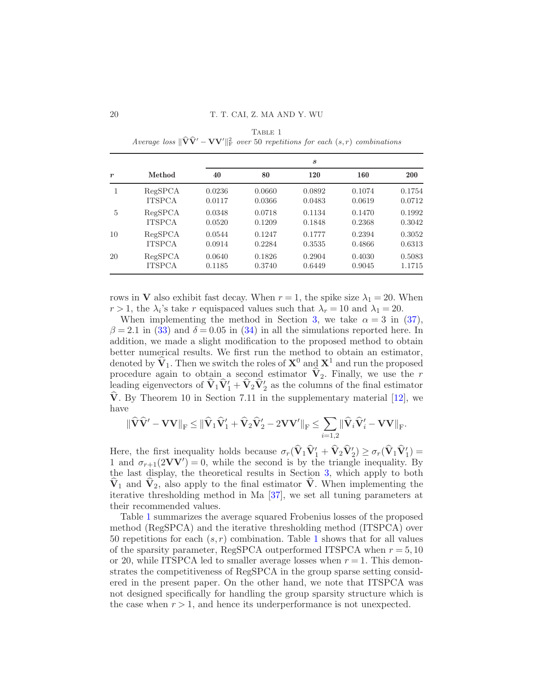<span id="page-19-0"></span>

| $\boldsymbol{r}$ | Method        | S      |        |        |        |        |
|------------------|---------------|--------|--------|--------|--------|--------|
|                  |               | 40     | 80     | 120    | 160    | 200    |
|                  | RegSPCA       | 0.0236 | 0.0660 | 0.0892 | 0.1074 | 0.1754 |
|                  | <b>ITSPCA</b> | 0.0117 | 0.0366 | 0.0483 | 0.0619 | 0.0712 |
| 5                | RegSPCA       | 0.0348 | 0.0718 | 0.1134 | 0.1470 | 0.1992 |
|                  | <b>ITSPCA</b> | 0.0520 | 0.1209 | 0.1848 | 0.2368 | 0.3042 |
| 10               | RegSPCA       | 0.0544 | 0.1247 | 0.1777 | 0.2394 | 0.3052 |
|                  | <b>ITSPCA</b> | 0.0914 | 0.2284 | 0.3535 | 0.4866 | 0.6313 |
| 20               | RegSPCA       | 0.0640 | 0.1826 | 0.2904 | 0.4030 | 0.5083 |
|                  | <b>ITSPCA</b> | 0.1185 | 0.3740 | 0.6449 | 0.9045 | 1.1715 |

TABLE 1 Average loss  $\Vert \widehat{\mathbf{V}}\widehat{\mathbf{V}}' - \mathbf{V}\mathbf{V}' \Vert_F^2$  over 50 repetitions for each  $(s, r)$  combinations

rows in **V** also exhibit fast decay. When  $r = 1$ , the spike size  $\lambda_1 = 20$ . When  $r > 1$ , the  $\lambda_i$ 's take r equispaced values such that  $\lambda_r = 10$  and  $\lambda_1 = 20$ .

When implementing the method in Section [3,](#page-12-0) we take  $\alpha = 3$  in [\(37\)](#page-15-2),  $\beta = 2.1$  in [\(33\)](#page-14-1) and  $\delta = 0.05$  in [\(34\)](#page-14-2) in all the simulations reported here. In addition, we made a slight modification to the proposed method to obtain better numerical results. We first run the method to obtain an estimator, denoted by  $\hat{V}_1$ . Then we switch the roles of  $X^0$  and  $X^1$  and run the proposed procedure again to obtain a second estimator  $\hat{V}_2$ . Finally, we use the r leading eigenvectors of  $\mathbf{V}_1 \mathbf{V}_1' + \mathbf{V}_2 \mathbf{V}_2'$  as the columns of the final estimator V. By Theorem 10 in Section 7.11 in the supplementary material  $[12]$ , we have

$$
\|\widehat{\mathbf{V}}\widehat{\mathbf{V}}'-\mathbf{V}\mathbf{V}\|_{\mathrm{F}}\leq\|\widehat{\mathbf{V}}_1\widehat{\mathbf{V}}_1'+\widehat{\mathbf{V}}_2\widehat{\mathbf{V}}_2'-2\mathbf{V}\mathbf{V}'\|_{\mathrm{F}}\leq\sum_{i=1,2}\|\widehat{\mathbf{V}}_i\widehat{\mathbf{V}}_i'-\mathbf{V}\mathbf{V}\|_{\mathrm{F}}.
$$

Here, the first inequality holds because  $\sigma_r(\mathbf{V}_1\mathbf{V}'_1 + \mathbf{V}_2\mathbf{V}'_2) \geq \sigma_r(\mathbf{V}_1\mathbf{V}'_1) =$ 1 and  $\sigma_{r+1}(2VV') = 0$ , while the second is by the triangle inequality. By the last display, the theoretical results in Section [3,](#page-12-0) which apply to both  $\hat{\mathbf{V}}_1$  and  $\hat{\mathbf{V}}_2$ , also apply to the final estimator  $\hat{\mathbf{V}}$ . When implementing the iterative thresholding method in Ma [\[37\]](#page-36-7), we set all tuning parameters at their recommended values.

Table [1](#page-19-0) summarizes the average squared Frobenius losses of the proposed method (RegSPCA) and the iterative thresholding method (ITSPCA) over 50 repetitions for each  $(s, r)$  combination. Table [1](#page-19-0) shows that for all values of the sparsity parameter, RegSPCA outperformed ITSPCA when  $r = 5, 10$ or 20, while ITSPCA led to smaller average losses when  $r = 1$ . This demonstrates the competitiveness of RegSPCA in the group sparse setting considered in the present paper. On the other hand, we note that ITSPCA was not designed specifically for handling the group sparsity structure which is the case when  $r > 1$ , and hence its underperformance is not unexpected.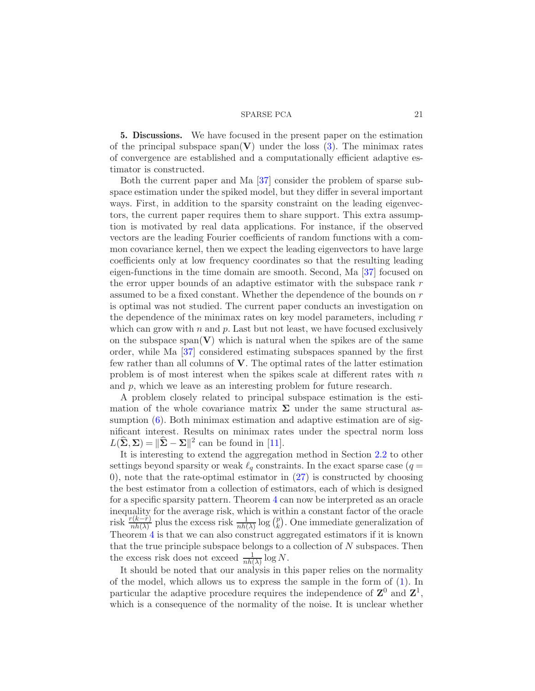<span id="page-20-0"></span>5. Discussions. We have focused in the present paper on the estimation of the principal subspace span(V) under the loss  $(3)$ . The minimax rates of convergence are established and a computationally efficient adaptive estimator is constructed.

Both the current paper and Ma [\[37](#page-36-7)] consider the problem of sparse subspace estimation under the spiked model, but they differ in several important ways. First, in addition to the sparsity constraint on the leading eigenvectors, the current paper requires them to share support. This extra assumption is motivated by real data applications. For instance, if the observed vectors are the leading Fourier coefficients of random functions with a common covariance kernel, then we expect the leading eigenvectors to have large coefficients only at low frequency coordinates so that the resulting leading eigen-functions in the time domain are smooth. Second, Ma [\[37\]](#page-36-7) focused on the error upper bounds of an adaptive estimator with the subspace rank  $r$ assumed to be a fixed constant. Whether the dependence of the bounds on r is optimal was not studied. The current paper conducts an investigation on the dependence of the minimax rates on key model parameters, including  $r$ which can grow with n and p. Last but not least, we have focused exclusively on the subspace span $(V)$  which is natural when the spikes are of the same order, while Ma [\[37\]](#page-36-7) considered estimating subspaces spanned by the first few rather than all columns of  $V$ . The optimal rates of the latter estimation problem is of most interest when the spikes scale at different rates with  $n$ and p, which we leave as an interesting problem for future research.

A problem closely related to principal subspace estimation is the estimation of the whole covariance matrix  $\Sigma$  under the same structural assumption  $(6)$ . Both minimax estimation and adaptive estimation are of significant interest. Results on minimax rates under the spectral norm loss  $L(\hat{\Sigma}, \Sigma) = \|\hat{\Sigma} - \Sigma\|^2$  can be found in [\[11\]](#page-35-15).

It is interesting to extend the aggregation method in Section [2.2](#page-9-0) to other settings beyond sparsity or weak  $\ell_q$  constraints. In the exact sparse case ( $q =$ 0), note that the rate-optimal estimator in  $(27)$  is constructed by choosing the best estimator from a collection of estimators, each of which is designed for a specific sparsity pattern. Theorem [4](#page-10-1) can now be interpreted as an oracle inequality for the average risk, which is within a constant factor of the oracle risk  $\frac{r(k-r)}{nh(\lambda)}$  plus the excess risk  $\frac{1}{nh(\lambda)}\log\left(\frac{p}{k}\right)$  $\binom{p}{k}$ . One immediate generalization of Theorem [4](#page-10-1) is that we can also construct aggregated estimators if it is known that the true principle subspace belongs to a collection of  $N$  subspaces. Then the excess risk does not exceed  $\frac{1}{nh(\lambda)} \log N$ .

It should be noted that our analysis in this paper relies on the normality of the model, which allows us to express the sample in the form of [\(1\)](#page-2-1). In particular the adaptive procedure requires the independence of  $\mathbb{Z}^0$  and  $\mathbb{Z}^1$ , which is a consequence of the normality of the noise. It is unclear whether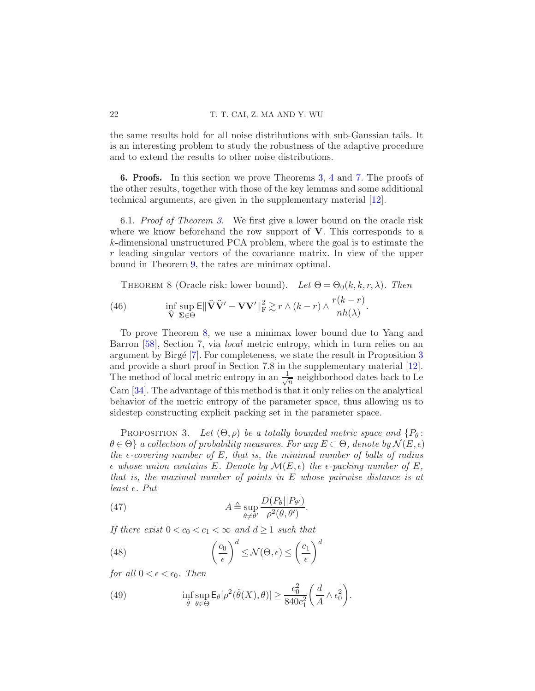the same results hold for all noise distributions with sub-Gaussian tails. It is an interesting problem to study the robustness of the adaptive procedure and to extend the results to other noise distributions.

<span id="page-21-0"></span>6. Proofs. In this section we prove Theorems [3,](#page-9-3) [4](#page-10-1) and [7.](#page-17-1) The proofs of the other results, together with those of the key lemmas and some additional technical arguments, are given in the supplementary material [\[12](#page-35-8)].

<span id="page-21-2"></span>6.1. Proof of Theorem [3.](#page-9-3) We first give a lower bound on the oracle risk where we know beforehand the row support of  $V$ . This corresponds to a k-dimensional unstructured PCA problem, where the goal is to estimate the r leading singular vectors of the covariance matrix. In view of the upper bound in Theorem [9,](#page-24-0) the rates are minimax optimal.

<span id="page-21-5"></span><span id="page-21-1"></span>THEOREM 8 (Oracle risk: lower bound). Let  $\Theta = \Theta_0(k, k, r, \lambda)$ . Then

(46) 
$$
\inf_{\widehat{\mathbf{V}}} \sup_{\mathbf{\Sigma} \in \Theta} \mathsf{E} \|\widehat{\mathbf{V}}\widehat{\mathbf{V}}' - \mathbf{V}\mathbf{V}'\|_{\mathrm{F}}^2 \gtrsim r \wedge (k-r) \wedge \frac{r(k-r)}{nh(\lambda)}.
$$

To prove Theorem [8,](#page-21-1) we use a minimax lower bound due to Yang and Barron [\[58](#page-37-6)], Section 7, via local metric entropy, which in turn relies on an argument by Birgé  $[7]$ . For completeness, we state the result in Proposition  $3$ and provide a short proof in Section 7.8 in the supplementary material [\[12](#page-35-8)]. The method of local metric entropy in an  $\frac{1}{\sqrt{2}}$  $\frac{1}{n}$ -neighborhood dates back to Le Cam [\[34\]](#page-36-9). The advantage of this method is that it only relies on the analytical behavior of the metric entropy of the parameter space, thus allowing us to sidestep constructing explicit packing set in the parameter space.

<span id="page-21-3"></span>PROPOSITION 3. Let  $(\Theta, \rho)$  be a totally bounded metric space and  $\{P_{\theta} :$  $\theta \in \Theta$  a collection of probability measures. For any  $E \subset \Theta$ , denote by  $\mathcal{N}(E, \epsilon)$ the  $\epsilon$ -covering number of E, that is, the minimal number of balls of radius  $\epsilon$  whose union contains E. Denote by  $\mathcal{M}(E,\epsilon)$  the  $\epsilon$ -packing number of E, that is, the maximal number of points in E whose pairwise distance is at least  $\epsilon$ . Put

<span id="page-21-4"></span>(47) 
$$
A \triangleq \sup_{\theta \neq \theta'} \frac{D(P_{\theta}||P_{\theta'})}{\rho^2(\theta, \theta')}.
$$

If there exist  $0 < c_0 < c_1 < \infty$  and  $d \geq 1$  such that

(48) 
$$
\left(\frac{c_0}{\epsilon}\right)^d \le \mathcal{N}(\Theta, \epsilon) \le \left(\frac{c_1}{\epsilon}\right)^d
$$

for all  $0 < \epsilon < \epsilon_0$ . Then

(49) 
$$
\inf_{\hat{\theta}} \sup_{\theta \in \Theta} \mathsf{E}_{\theta}[\rho^2(\hat{\theta}(X), \theta)] \geq \frac{c_0^2}{840c_1^2} \bigg( \frac{d}{A} \wedge \epsilon_0^2 \bigg).
$$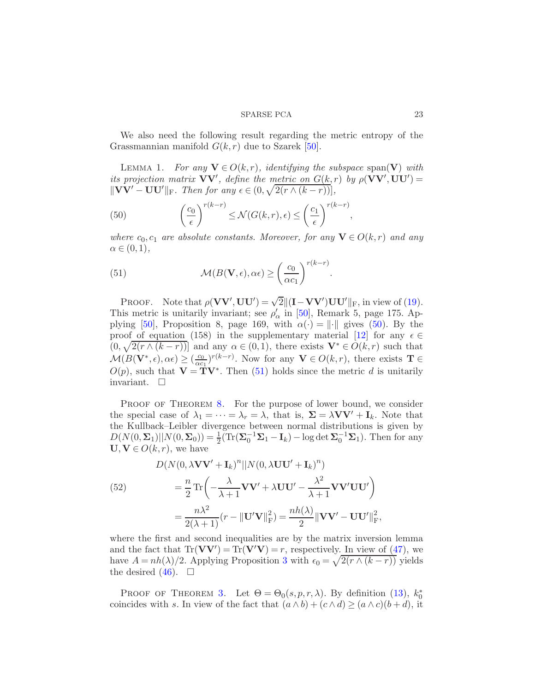We also need the following result regarding the metric entropy of the Grassmannian manifold  $G(k, r)$  due to Szarek [\[50](#page-37-9)].

LEMMA 1. For any  $\mathbf{V} \in O(k,r)$ , identifying the subspace span( $\mathbf{V}$ ) with its projection matrix  $VV'$ , define the metric on  $G(k,r)$  by  $\rho(VV',UU')=$  $\|\mathbf{V}\mathbf{V}' - \mathbf{U}\mathbf{U}'\|_{\mathrm{F}}$ . Then for any  $\epsilon \in (0, \sqrt{2(r \wedge (k-r))},$ 

<span id="page-22-0"></span>(50) 
$$
\left(\frac{c_0}{\epsilon}\right)^{r(k-r)} \le \mathcal{N}(G(k,r), \epsilon) \le \left(\frac{c_1}{\epsilon}\right)^{r(k-r)},
$$

where  $c_0, c_1$  are absolute constants. Moreover, for any  $\mathbf{V} \in O(k,r)$  and any  $\alpha \in (0,1),$ 

<span id="page-22-1"></span>(51) 
$$
\mathcal{M}(B(\mathbf{V}, \epsilon), \alpha \epsilon) \geq \left(\frac{c_0}{\alpha c_1}\right)^{r(k-r)}.
$$

PROOF. Note that  $\rho(\mathbf{VV}',\mathbf{UU}') = \sqrt{2} ||(\mathbf{I} - \mathbf{VV}')\mathbf{UU}'||_F$ , in view of [\(19\)](#page-9-1). This metric is unitarily invariant; see  $\rho'_{\alpha}$  in [\[50\]](#page-37-9), Remark 5, page 175. Ap-plying [\[50\]](#page-37-9), Proposition 8, page 169, with  $\alpha(\cdot) = \|\cdot\|$  gives [\(50\)](#page-22-0). By the proof of equation (158) in the supplementary material [\[12\]](#page-35-8) for any  $\epsilon \in$  $(0, \sqrt{2(r \wedge (k-r))}]$  and any  $\alpha \in (0,1)$ , there exists  $\mathbf{V}^* \in O(k,r)$  such that  $\mathcal{M}(B(\mathbf{V}^*, \epsilon), \alpha \epsilon) \geq (\frac{c_0}{\alpha c_0})$  $\frac{c_0}{\alpha c_1}$ )<sup>r(k-r)</sup>. Now for any **V**  $\in$  *O*(k, r), there exists **T**  $\in$  $O(p)$ , such that  $\mathbf{V} = \mathbf{T} \mathbf{V}^*$ . Then [\(51\)](#page-22-1) holds since the metric d is unitarily invariant.  $\square$ 

PROOF OF THEOREM [8.](#page-21-1) For the purpose of lower bound, we consider the special case of  $\lambda_1 = \cdots = \lambda_r = \lambda$ , that is,  $\Sigma = \lambda V V' + I_k$ . Note that the Kullback–Leibler divergence between normal distributions is given by  $D(N(0, \Sigma_1)||N(0, \Sigma_0)) = \frac{1}{2}(\text{Tr}(\Sigma_0^{-1}\Sigma_1 - \mathbf{I}_k) - \log \det \Sigma_0^{-1}\Sigma_1)$ . Then for any  $U, V \in O(k, r)$ , we have

(52)  
\n
$$
D(N(0, \lambda \mathbf{V}\mathbf{V}' + \mathbf{I}_k)^n || N(0, \lambda \mathbf{U}\mathbf{U}' + \mathbf{I}_k)^n)
$$
\n
$$
= \frac{n}{2} \text{Tr} \left( -\frac{\lambda}{\lambda + 1} \mathbf{V}\mathbf{V}' + \lambda \mathbf{U}\mathbf{U}' - \frac{\lambda^2}{\lambda + 1} \mathbf{V}\mathbf{V}'\mathbf{U}\mathbf{U}' \right)
$$
\n
$$
= \frac{n\lambda^2}{2(\lambda + 1)} (r - ||\mathbf{U}'\mathbf{V}||_{\text{F}}^2) = \frac{nh(\lambda)}{2} ||\mathbf{V}\mathbf{V}' - \mathbf{U}\mathbf{U}'||_{\text{F}}^2
$$

where the first and second inequalities are by the matrix inversion lemma and the fact that  $Tr(VV') = Tr(V'V) = r$ , respectively. In view of [\(47\)](#page-21-4), we have  $A = nh(\lambda)/2$ . Applying Proposition [3](#page-21-3) with  $\epsilon_0 = \sqrt{2(r \wedge (k-r))}$  yields the desired  $(46)$ .  $\Box$ 

PROOF OF THEOREM [3.](#page-9-3) Let  $\Theta = \Theta_0(s, p, r, \lambda)$ . By definition [\(13\)](#page-7-0),  $k_0^*$ coincides with s. In view of the fact that  $(a \wedge b) + (c \wedge d) \ge (a \wedge c)(b + d)$ , it

,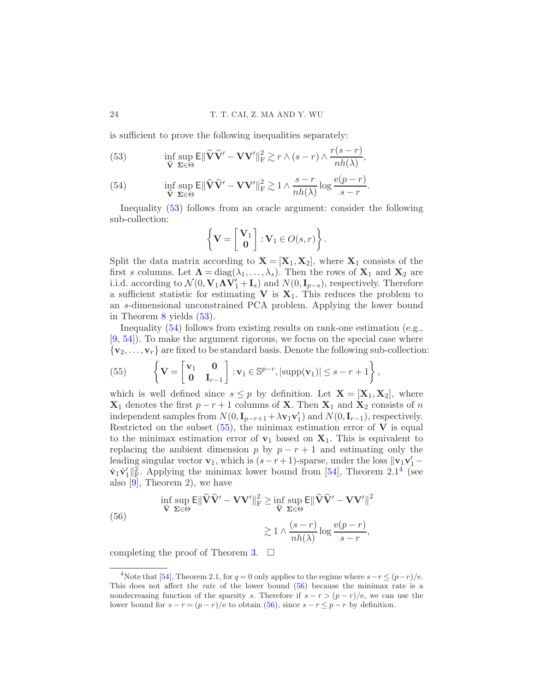is sufficient to prove the following inequalities separately:

<span id="page-23-0"></span>(53) 
$$
\inf_{\widehat{\mathbf{V}}} \sup_{\mathbf{\Sigma} \in \Theta} \mathsf{E} \|\widehat{\mathbf{V}}\widehat{\mathbf{V}}' - \mathbf{V}\mathbf{V}'\|_{\mathrm{F}}^2 \gtrsim r \wedge (s - r) \wedge \frac{r(s - r)}{nh(\lambda)},
$$

(54) 
$$
\inf_{\widehat{\mathbf{V}}} \sup_{\mathbf{\Sigma} \in \Theta} \mathsf{E} \|\widehat{\mathbf{V}}\widehat{\mathbf{V}}' - \mathbf{V}\mathbf{V}'\|_{\mathrm{F}}^2 \gtrsim 1 \wedge \frac{s-r}{nh(\lambda)} \log \frac{e(p-r)}{s-r}.
$$

Inequality [\(53\)](#page-23-0) follows from an oracle argument: consider the following sub-collection:

$$
\left\{ \mathbf{V} = \begin{bmatrix} \mathbf{V}_1 \\ \mathbf{0} \end{bmatrix} : \mathbf{V}_1 \in O(s,r) \right\}.
$$

Split the data matrix according to  $X = [X_1, X_2]$ , where  $X_1$  consists of the first s columns. Let  $\Lambda = diag(\lambda_1, ..., \lambda_s)$ . Then the rows of  $X_1$  and  $X_2$  are i.i.d. according to  $\mathcal{N}(0, \mathbf{V}_1 \mathbf{\Lambda} \mathbf{V}'_1 + \mathbf{I}_s)$  and  $N(0, \mathbf{I}_{p-s})$ , respectively. Therefore a sufficient statistic for estimating  $\bf{V}$  is  $\bf{X}_1$ . This reduces the problem to an s-dimensional unconstrained PCA problem. Applying the lower bound in Theorem [8](#page-21-1) yields [\(53\)](#page-23-0).

Inequality [\(54\)](#page-23-0) follows from existing results on rank-one estimation (e.g., [\[9](#page-35-1), [54\]](#page-37-5)). To make the argument rigorous, we focus on the special case where  $\{v_2, \ldots, v_r\}$  are fixed to be standard basis. Denote the following sub-collection:

<span id="page-23-1"></span>(55) 
$$
\left\{ \mathbf{V} = \begin{bmatrix} \mathbf{v}_1 & \mathbf{0} \\ \mathbf{0} & \mathbf{I}_{r-1} \end{bmatrix} : \mathbf{v}_1 \in \mathbb{S}^{p-r}, |\text{supp}(\mathbf{v}_1)| \leq s - r + 1 \right\},\
$$

which is well defined since  $s \leq p$  by definition. Let  $\mathbf{X} = [\mathbf{X}_1, \mathbf{X}_2]$ , where  $\mathbf{X}_1$  denotes the first  $p - r + 1$  columns of **X**. Then  $\mathbf{X}_1$  and  $\mathbf{X}_2$  consists of n independent samples from  $N(0, I_{p-r+1} + \lambda v_1 v_1')$  and  $N(0, I_{r-1})$ , respectively. Restricted on the subset  $(55)$ , the minimax estimation error of V is equal to the minimax estimation error of  $v_1$  based on  $X_1$ . This is equivalent to replacing the ambient dimension p by  $p - r + 1$  and estimating only the leading singular vector  $\mathbf{v}_1$ , which is  $(s - r + 1)$ -sparse, under the loss  $\|\mathbf{v}_1\mathbf{v}_1\|$  $\hat{\mathbf{v}}_1 \hat{\mathbf{v}}_1' \|^2_{\text{F}}$ . Applying the minimax lower bound from [\[54](#page-37-5)], Theorem 2.1<sup>[4](#page-23-2)</sup> (see also  $\overline{[9]}$ , Theorem 2), we have

<span id="page-23-3"></span>(56) 
$$
\inf_{\mathbf{\hat{V}} \Sigma \in \Theta} \mathsf{E} \|\mathbf{\hat{V}}\mathbf{\hat{V}}' - \mathbf{V}\mathbf{V}'\|_{\mathrm{F}}^2 \ge \inf_{\mathbf{\hat{V}} \Sigma \in \Theta} \mathsf{E} \|\mathbf{\hat{V}}\mathbf{\hat{V}}' - \mathbf{V}\mathbf{V}'\|^2
$$

$$
\ge 1 \wedge \frac{(s-r)}{nh(\lambda)} \log \frac{e(p-r)}{s-r},
$$

completing the proof of Theorem [3.](#page-9-3)  $\Box$ 

<span id="page-23-2"></span><sup>&</sup>lt;sup>4</sup>Note that [\[54\]](#page-37-5), Theorem 2.1, for  $q = 0$  only applies to the regime where  $s-r \leq (p-r)/e$ . This does not affect the rate of the lower bound [\(56\)](#page-23-3) because the minimax rate is a nondecreasing function of the sparsity s. Therefore if  $s - r > (p - r)/e$ , we can use the lower bound for  $s - r = (p - r)/e$  to obtain [\(56\)](#page-23-3), since  $s - r \leq p - r$  by definition.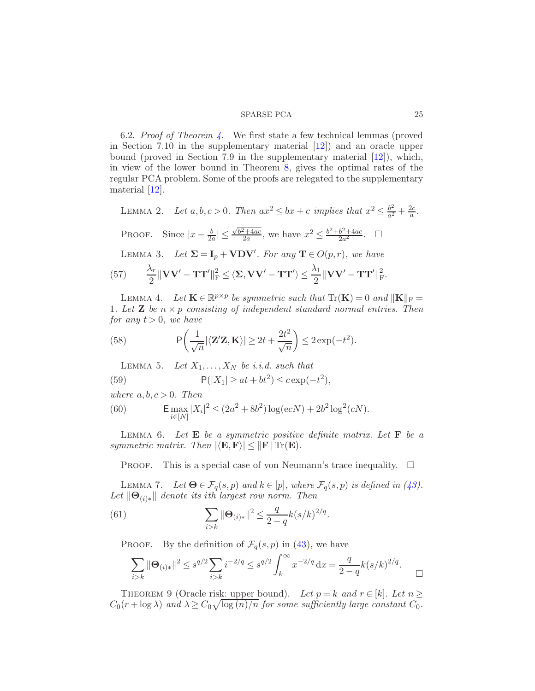<span id="page-24-1"></span>6.2. Proof of Theorem  $\lambda$ . We first state a few technical lemmas (proved in Section 7.10 in the supplementary material [\[12](#page-35-8)]) and an oracle upper bound (proved in Section 7.9 in the supplementary material [\[12\]](#page-35-8)), which, in view of the lower bound in Theorem [8,](#page-21-1) gives the optimal rates of the regular PCA problem. Some of the proofs are relegated to the supplementary material [\[12\]](#page-35-8).

<span id="page-24-5"></span>LEMMA 2. Let  $a, b, c > 0$ . Then  $ax^2 \leq bx + c$  implies that  $x^2 \leq \frac{b^2}{a^2}$  $\frac{b^2}{a^2} + \frac{2c}{a}$  $\frac{2c}{a}$  .  $\sqrt{b^2+4ac}$ 

PROOF. Since  $|x - \frac{b}{2a}| \leq$  $\frac{a^2+4ac}{2a}$ , we have  $x^2 \leq \frac{b^2+b^2+4ac}{2a^2}$  $rac{b^2+4ac}{2a^2}$ .  $\Box$ 

<span id="page-24-3"></span>LEMMA 3. Let  $\Sigma = I_p + VDV'$ . For any  $\mathbf{T} \in O(p,r)$ , we have

(57) 
$$
\frac{\lambda_r}{2} \|\mathbf{V}\mathbf{V}' - \mathbf{T}\mathbf{T}'\|_{\mathrm{F}}^2 \leq \langle \mathbf{\Sigma}, \mathbf{V}\mathbf{V}' - \mathbf{T}\mathbf{T}' \rangle \leq \frac{\lambda_1}{2} \|\mathbf{V}\mathbf{V}' - \mathbf{T}\mathbf{T}'\|_{\mathrm{F}}^2.
$$

<span id="page-24-6"></span>LEMMA 4. Let  $\mathbf{K} \in \mathbb{R}^{p \times p}$  be symmetric such that  $\text{Tr}(\mathbf{K}) = 0$  and  $\|\mathbf{K}\|_{\text{F}} =$ 1. Let **Z** be  $n \times p$  consisting of independent standard normal entries. Then for any  $t > 0$ , we have

(58) 
$$
P\left(\frac{1}{\sqrt{n}}|\langle \mathbf{Z}'\mathbf{Z}, \mathbf{K}\rangle| \ge 2t + \frac{2t^2}{\sqrt{n}}\right) \le 2\exp(-t^2).
$$

<span id="page-24-7"></span>LEMMA 5. Let  $X_1, \ldots, X_N$  be i.i.d. such that

(59) 
$$
P(|X_1| \ge at + bt^2) \le c \exp(-t^2),
$$

where  $a, b, c > 0$ . Then

(60) 
$$
\mathsf{E} \max_{i \in [N]} |X_i|^2 \le (2a^2 + 8b^2) \log(ecN) + 2b^2 \log^2(cN).
$$

<span id="page-24-4"></span>LEMMA 6. Let  $E$  be a symmetric positive definite matrix. Let  $F$  be a symmetric matrix. Then  $|\langle \mathbf{E}, \mathbf{F} \rangle| \leq ||\mathbf{F}|| \operatorname{Tr}(\mathbf{E}).$ 

PROOF. This is a special case of von Neumann's trace inequality.  $\square$ 

<span id="page-24-2"></span>LEMMA 7. Let  $\Theta \in \mathcal{F}_q(s,p)$  and  $k \in [p]$ , where  $\mathcal{F}_q(s,p)$  is defined in [\(43\)](#page-16-2). Let  $\|\Theta_{(i)*}\|$  denote its ith largest row norm. Then

(61) 
$$
\sum_{i>k} ||\mathbf{\Theta}_{(i)*}||^2 \leq \frac{q}{2-q} k(s/k)^{2/q}.
$$

PROOF. By the definition of  $\mathcal{F}_q(s,p)$  in [\(43\)](#page-16-2), we have

$$
\sum_{i>k} \|\Theta_{(i)*}\|^2 \le s^{q/2} \sum_{i>k} i^{-2/q} \le s^{q/2} \int_k^\infty x^{-2/q} \, \mathrm{d}x = \frac{q}{2-q} k(s/k)^{2/q}.
$$

<span id="page-24-0"></span>THEOREM 9 (Oracle risk: upper bound). Let  $p = k$  and  $r \in [k]$ . Let  $n \geq$  $C_0(r + \log \lambda)$  and  $\lambda \ge C_0 \sqrt{\log(n)/n}$  for some sufficiently large constant  $C_0$ .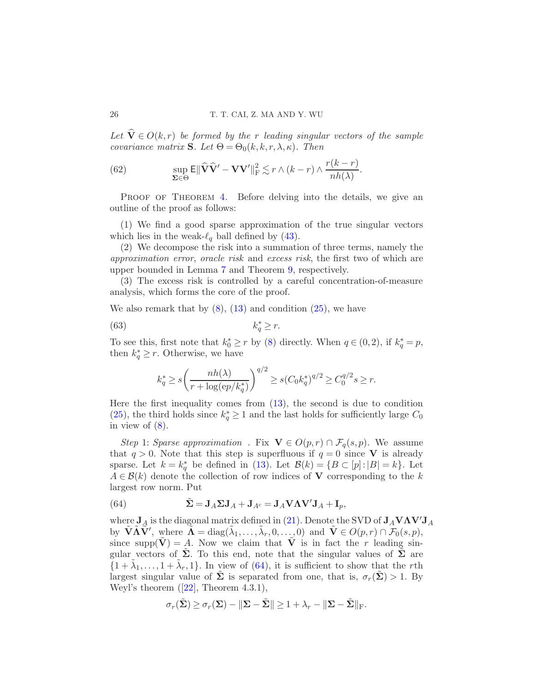Let  $\widehat{\mathbf{V}} \in O(k,r)$  be formed by the r leading singular vectors of the sample covariance matrix **S**. Let  $\Theta = \Theta_0(k, k, r, \lambda, \kappa)$ . Then

(62) 
$$
\sup_{\Sigma \in \Theta} \mathsf{E} \|\widehat{\mathbf{V}}\widehat{\mathbf{V}}' - \mathbf{V}\mathbf{V}'\|_{\mathrm{F}}^2 \lesssim r \wedge (k-r) \wedge \frac{r(k-r)}{nh(\lambda)}.
$$

PROOF OF THEOREM [4.](#page-10-1) Before delving into the details, we give an outline of the proof as follows:

(1) We find a good sparse approximation of the true singular vectors which lies in the weak- $\ell_q$  ball defined by [\(43\)](#page-16-2).

(2) We decompose the risk into a summation of three terms, namely the approximation error, oracle risk and excess risk, the first two of which are upper bounded in Lemma [7](#page-24-2) and Theorem [9,](#page-24-0) respectively.

(3) The excess risk is controlled by a careful concentration-of-measure analysis, which forms the core of the proof.

We also remark that by  $(8)$ ,  $(13)$  and condition  $(25)$ , we have

$$
(63) \t\t k_q^* \ge r.
$$

To see this, first note that  $k_0^* \ge r$  by [\(8\)](#page-3-0) directly. When  $q \in (0, 2)$ , if  $k_q^* = p$ , then  $k_q^* \geq r$ . Otherwise, we have

$$
k_q^* \ge s \left( \frac{nh(\lambda)}{r + \log(ep/k_q^*)} \right)^{q/2} \ge s (C_0 k_q^*)^{q/2} \ge C_0^{q/2} s \ge r.
$$

Here the first inequality comes from [\(13\)](#page-7-0), the second is due to condition [\(25\)](#page-10-2), the third holds since  $k_q^* \geq 1$  and the last holds for sufficiently large  $C_0$ in view of  $(8)$ .

Step 1: Sparse approximation. Fix  $\mathbf{V} \in O(p,r) \cap \mathcal{F}_q(s,p)$ . We assume that  $q > 0$ . Note that this step is superfluous if  $q = 0$  since V is already sparse. Let  $k = k_q^*$  be defined in [\(13\)](#page-7-0). Let  $\mathcal{B}(k) = \{B \subset [p] : |B| = k\}$ . Let  $A \in \mathcal{B}(k)$  denote the collection of row indices of **V** corresponding to the k largest row norm. Put

<span id="page-25-0"></span>(64) 
$$
\tilde{\mathbf{\Sigma}} = \mathbf{J}_A \mathbf{\Sigma} \mathbf{J}_A + \mathbf{J}_{A^c} = \mathbf{J}_A \mathbf{V} \mathbf{\Lambda} \mathbf{V}' \mathbf{J}_A + \mathbf{I}_p,
$$

where  $J_A$  is the diagonal matrix defined in [\(21\)](#page-9-4). Denote the SVD of  $J_A V \Lambda V' J_A$ by  $\tilde{\mathbf{V}} \tilde{\mathbf{\Lambda}} \tilde{\mathbf{V}}'$ , where  $\tilde{\mathbf{\Lambda}} = \text{diag}(\tilde{\lambda}_1, \dots, \tilde{\lambda}_r, 0, \dots, 0)$  and  $\tilde{\mathbf{V}} \in O(p, r) \cap \mathcal{F}_0(s, p)$ , since supp $(\tilde{\mathbf{V}}) = A$ . Now we claim that  $\tilde{\mathbf{V}}$  is in fact the r leading singular vectors of  $\Sigma$ . To this end, note that the singular values of  $\Sigma$  are  $\{1+\tilde{\lambda}_1,\ldots,1+\tilde{\lambda}_r,1\}$ . In view of [\(64\)](#page-25-0), it is sufficient to show that the rth largest singular value of  $\Sigma$  is separated from one, that is,  $\sigma_r(\Sigma) > 1$ . By Weyl's theorem  $([22],$  $([22],$  $([22],$  Theorem 4.3.1),

$$
\sigma_r(\tilde{\Sigma}) \ge \sigma_r(\Sigma) - \|\Sigma - \tilde{\Sigma}\| \ge 1 + \lambda_r - \|\Sigma - \tilde{\Sigma}\|_{\mathrm{F}}.
$$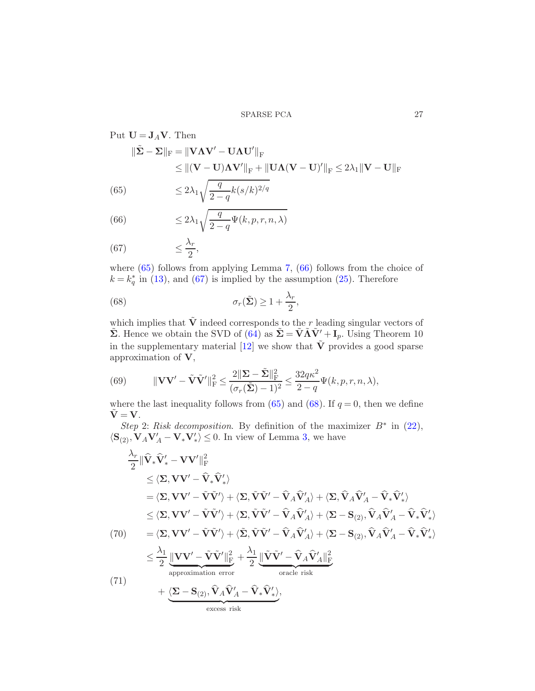<span id="page-26-0"></span>Put 
$$
\mathbf{U} = \mathbf{J}_A \mathbf{V}
$$
. Then  
\n
$$
\|\tilde{\mathbf{\Sigma}} - \mathbf{\Sigma}\|_{\text{F}} = \|\mathbf{V}\Lambda\mathbf{V}' - \mathbf{U}\Lambda\mathbf{U}'\|_{\text{F}}
$$
\n
$$
\leq \|(\mathbf{V} - \mathbf{U})\Lambda\mathbf{V}'\|_{\text{F}} + \|\mathbf{U}\Lambda(\mathbf{V} - \mathbf{U})'\|_{\text{F}} \leq 2\lambda_1 \|\mathbf{V} - \mathbf{U}\|_{\text{F}}
$$
\n(65)\n
$$
\leq 2\lambda_1 \sqrt{\frac{q}{2-q}k(s/k)^{2/q}}
$$

(66) 
$$
\leq 2\lambda_1 \sqrt{\frac{q}{2-q}\Psi(k,p,r,n,\lambda)}
$$

(67) 
$$
\leq \frac{\lambda_r}{2},
$$

where  $(65)$  follows from applying Lemma [7,](#page-24-2)  $(66)$  follows from the choice of  $k = k_q^*$  in [\(13\)](#page-7-0), and [\(67\)](#page-26-0) is implied by the assumption [\(25\)](#page-10-2). Therefore

<span id="page-26-1"></span>(68) 
$$
\sigma_r(\tilde{\Sigma}) \ge 1 + \frac{\lambda_r}{2},
$$

which implies that  $\tilde{V}$  indeed corresponds to the r leading singular vectors of  $\tilde{\Sigma}$ . Hence we obtain the SVD of  $(64)$  as  $\tilde{\Sigma} = \tilde{V} \tilde{\Lambda} \tilde{V}' + I_p$ . Using Theorem 10 in the supplementary material [\[12](#page-35-8)] we show that  $\tilde{V}$  provides a good sparse approximation of V,

<span id="page-26-3"></span>(69) 
$$
\|\mathbf{V}\mathbf{V}'-\tilde{\mathbf{V}}\tilde{\mathbf{V}}'\|^2_{\mathrm{F}} \leq \frac{2\|\mathbf{\Sigma}-\tilde{\mathbf{\Sigma}}\|^2_{\mathrm{F}}}{(\sigma_r(\tilde{\mathbf{\Sigma}})-1)^2} \leq \frac{32q\kappa^2}{2-q}\Psi(k,p,r,n,\lambda),
$$

where the last inequality follows from [\(65\)](#page-26-0) and [\(68\)](#page-26-1). If  $q = 0$ , then we define  $\tilde{\mathbf{V}} = \mathbf{V}$ .

Step 2: Risk decomposition. By definition of the maximizer  $B^*$  in [\(22\)](#page-10-3),  $\langle \mathbf{S}_{(2)}, \mathbf{V}_A \mathbf{V}_A' - \mathbf{V}_* \mathbf{V}_*'\rangle \leq 0$ . In view of Lemma [3,](#page-24-3) we have

<span id="page-26-2"></span>
$$
\frac{\lambda_r}{2} \|\hat{\mathbf{V}}_* \hat{\mathbf{V}}_*' - \mathbf{V} \mathbf{V}'\|_{\mathrm{F}}^2 \n\leq \langle \Sigma, \mathbf{V} \mathbf{V}' - \hat{\mathbf{V}}_* \hat{\mathbf{V}}_*' \rangle \n= \langle \Sigma, \mathbf{V} \mathbf{V}' - \tilde{\mathbf{V}} \tilde{\mathbf{V}}' \rangle + \langle \Sigma, \tilde{\mathbf{V}} \tilde{\mathbf{V}}' - \hat{\mathbf{V}}_A \hat{\mathbf{V}}_A' \rangle + \langle \Sigma, \hat{\mathbf{V}}_A \hat{\mathbf{V}}_A' - \hat{\mathbf{V}}_A \hat{\mathbf{V}}_*' \rangle \n\leq \langle \Sigma, \mathbf{V} \mathbf{V}' - \tilde{\mathbf{V}} \tilde{\mathbf{V}}' \rangle + \langle \Sigma, \tilde{\mathbf{V}} \tilde{\mathbf{V}}' - \hat{\mathbf{V}}_A \hat{\mathbf{V}}_A' \rangle + \langle \Sigma - \mathbf{S}_{(2)}, \hat{\mathbf{V}}_A \hat{\mathbf{V}}_A' - \hat{\mathbf{V}}_A \hat{\mathbf{V}}_*' \rangle \n(70) = \langle \Sigma, \mathbf{V} \mathbf{V}' - \tilde{\mathbf{V}} \tilde{\mathbf{V}}' \rangle + \langle \tilde{\Sigma}, \tilde{\mathbf{V}} \tilde{\mathbf{V}}' - \hat{\mathbf{V}}_A \hat{\mathbf{V}}_A' \rangle + \langle \Sigma - \mathbf{S}_{(2)}, \hat{\mathbf{V}}_A \hat{\mathbf{V}}_A' - \hat{\mathbf{V}}_A \hat{\mathbf{V}}_*' \rangle \n\leq \frac{\lambda_1}{2} \frac{\|\mathbf{V} \mathbf{V}' - \tilde{\mathbf{V}} \tilde{\mathbf{V}}'\|_{\mathrm{F}}^2}{\text{approximation error}} + \frac{\lambda_1}{2} \frac{\|\tilde{\mathbf{V}} \tilde{\mathbf{V}}' - \hat{\mathbf{V}}_A \hat{\mathbf{V}}_A' \|^2}{\text{vars}^2} \n(71) + \langle \Sigma - \mathbf{S}_{(2)}, \hat{\mathbf{V}}_A \hat{\mathbf{V}}_A' - \hat{\mathbf{V}}_* \hat{\mathbf{V}}_*' \rangle,
$$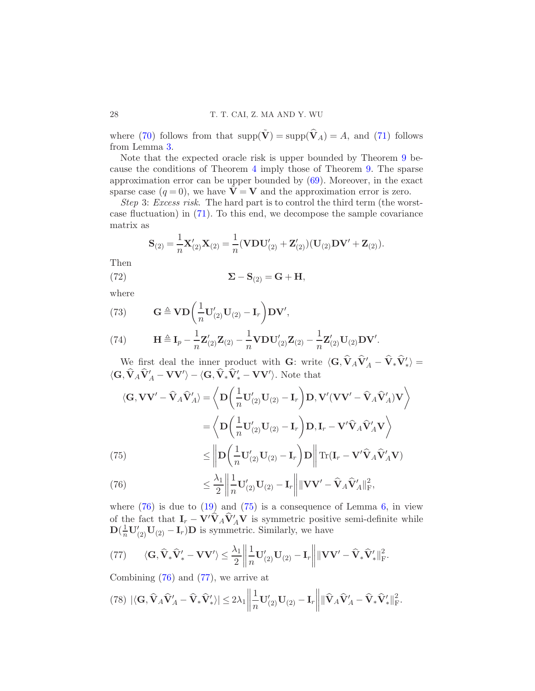where [\(70\)](#page-26-2) follows from that  $\text{supp}(\tilde{\mathbf{V}}) = \text{supp}(\hat{\mathbf{V}}_A) = A$ , and [\(71\)](#page-26-2) follows from Lemma [3.](#page-24-3)

Note that the expected oracle risk is upper bounded by Theorem [9](#page-24-0) because the conditions of Theorem [4](#page-10-1) imply those of Theorem [9.](#page-24-0) The sparse approximation error can be upper bounded by  $(69)$ . Moreover, in the exact sparse case  $(q = 0)$ , we have  $\mathbf{V} = \mathbf{V}$  and the approximation error is zero.

Step 3: Excess risk. The hard part is to control the third term (the worstcase fluctuation) in [\(71\)](#page-26-2). To this end, we decompose the sample covariance matrix as

<span id="page-27-2"></span>
$$
\mathbf{S}_{(2)} = \frac{1}{n} \mathbf{X}'_{(2)} \mathbf{X}_{(2)} = \frac{1}{n} (\mathbf{VDU}'_{(2)} + \mathbf{Z}'_{(2)}) (\mathbf{U}_{(2)} \mathbf{DV}' + \mathbf{Z}_{(2)}).
$$

Then

(72) 
$$
\mathbf{\Sigma} - \mathbf{S}_{(2)} = \mathbf{G} + \mathbf{H},
$$

where

<span id="page-27-4"></span>(73) 
$$
\mathbf{G} \triangleq \mathbf{V} \mathbf{D} \left( \frac{1}{n} \mathbf{U}'_{(2)} \mathbf{U}_{(2)} - \mathbf{I}_r \right) \mathbf{D} \mathbf{V}',
$$

(74) 
$$
\mathbf{H} \triangleq \mathbf{I}_p - \frac{1}{n} \mathbf{Z}_{(2)}' \mathbf{Z}_{(2)} - \frac{1}{n} \mathbf{V} \mathbf{D} \mathbf{U}_{(2)}' \mathbf{Z}_{(2)} - \frac{1}{n} \mathbf{Z}_{(2)}' \mathbf{U}_{(2)} \mathbf{D} \mathbf{V}'.
$$

We first deal the inner product with G: write  $\langle G, V_A V'_A - V_* V'_* \rangle =$  $\langle \mathbf{G}, \mathbf{V}_A \mathbf{V}_A' - \mathbf{V} \mathbf{V}' \rangle - \langle \mathbf{G}, \mathbf{V}_* \mathbf{V}_*' - \mathbf{V} \mathbf{V}' \rangle$ . Note that

<span id="page-27-0"></span>(75)  
\n
$$
\langle \mathbf{G}, \mathbf{V}\mathbf{V}' - \hat{\mathbf{V}}_A \hat{\mathbf{V}}_A' \rangle = \left\langle \mathbf{D} \left( \frac{1}{n} \mathbf{U}_{(2)}' \mathbf{U}_{(2)} - \mathbf{I}_r \right) \mathbf{D}, \mathbf{V}' (\mathbf{V}\mathbf{V}' - \hat{\mathbf{V}}_A \hat{\mathbf{V}}_A' ) \mathbf{V} \right\rangle
$$
\n
$$
= \left\langle \mathbf{D} \left( \frac{1}{n} \mathbf{U}_{(2)}' \mathbf{U}_{(2)} - \mathbf{I}_r \right) \mathbf{D}, \mathbf{I}_r - \mathbf{V}' \hat{\mathbf{V}}_A \hat{\mathbf{V}}_A' \mathbf{V} \right\rangle
$$
\n(75)  
\n
$$
\leq \left\| \mathbf{D} \left( \frac{1}{n} \mathbf{U}_{(2)}' \mathbf{U}_{(2)} - \mathbf{I}_r \right) \mathbf{D} \right\| \operatorname{Tr}(\mathbf{I}_r - \mathbf{V}' \hat{\mathbf{V}}_A \hat{\mathbf{V}}_A' \mathbf{V})
$$

(76) 
$$
\leq \frac{\lambda_1}{2} \left\| \frac{1}{n} \mathbf{U}'_{(2)} \mathbf{U}_{(2)} - \mathbf{I}_r \right\| \| \mathbf{V} \mathbf{V}' - \widehat{\mathbf{V}}_A \widehat{\mathbf{V}}_A' \|^2_{\mathrm{F}},
$$

where  $(76)$  is due to  $(19)$  and  $(75)$  is a consequence of Lemma [6,](#page-24-4) in view of the fact that  $I_r - V'V_A V_A'V$  is symmetric positive semi-definite while  $\mathbf{D}(\frac{1}{n}\mathbf{U}'_{(2)}\mathbf{U}_{(2)} - \mathbf{I}_r)\mathbf{D}$  is symmetric. Similarly, we have

<span id="page-27-1"></span>(77) 
$$
\langle \mathbf{G}, \hat{\mathbf{V}}_* \hat{\mathbf{V}}'_* - \mathbf{V} \mathbf{V}' \rangle \le \frac{\lambda_1}{2} \left\| \frac{1}{n} \mathbf{U}'_{(2)} \mathbf{U}_{(2)} - \mathbf{I}_r \right\| \left\| \mathbf{V} \mathbf{V}' - \hat{\mathbf{V}}_* \hat{\mathbf{V}}'_* \right\|_{\mathrm{F}}^2.
$$

Combining  $(76)$  and  $(77)$ , we arrive at

<span id="page-27-3"></span>
$$
(78)\ |\langle \mathbf{G}, \widehat{\mathbf{V}}_A\widehat{\mathbf{V}}_A' - \widehat{\mathbf{V}}_*\widehat{\mathbf{V}}_*'\rangle| \le 2\lambda_1 \bigg\|\frac{1}{n}\mathbf{U}_{(2)}'\mathbf{U}_{(2)} - \mathbf{I}_r\bigg\| \|\widehat{\mathbf{V}}_A\widehat{\mathbf{V}}_A' - \widehat{\mathbf{V}}_*\widehat{\mathbf{V}}_*'\|_{\mathrm{F}}^2.
$$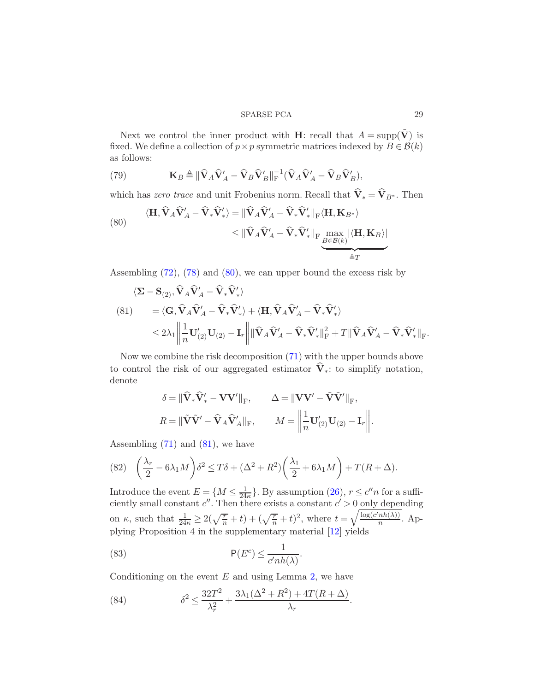Next we control the inner product with **H**: recall that  $A = \text{supp}(\tilde{\mathbf{V}})$  is fixed. We define a collection of  $p \times p$  symmetric matrices indexed by  $B \in \mathcal{B}(k)$ as follows:

(79) 
$$
\mathbf{K}_B \triangleq \|\hat{\mathbf{V}}_A\hat{\mathbf{V}}_A' - \hat{\mathbf{V}}_B\hat{\mathbf{V}}_B'\|_{\text{F}}^{-1}(\hat{\mathbf{V}}_A\hat{\mathbf{V}}_A' - \hat{\mathbf{V}}_B\hat{\mathbf{V}}_B'),
$$

which has *zero trace* and unit Frobenius norm. Recall that  $\widehat{\mathbf{V}}_* = \widehat{\mathbf{V}}_{B^*}$ . Then

<span id="page-28-0"></span>(80)  
\n
$$
\langle \mathbf{H}, \hat{\mathbf{V}}_A \hat{\mathbf{V}}_A' - \hat{\mathbf{V}}_* \hat{\mathbf{V}}_*' \rangle = \|\hat{\mathbf{V}}_A \hat{\mathbf{V}}_A' - \hat{\mathbf{V}}_* \hat{\mathbf{V}}_*'\|_{\mathrm{F}} \langle \mathbf{H}, \mathbf{K}_{B^*} \rangle
$$
\n
$$
\leq \|\hat{\mathbf{V}}_A \hat{\mathbf{V}}_A' - \hat{\mathbf{V}}_* \hat{\mathbf{V}}_*'\|_{\mathrm{F}} \max_{B \in \mathcal{B}(k)} |\langle \mathbf{H}, \mathbf{K}_B \rangle|
$$

Assembling  $(72)$ ,  $(78)$  and  $(80)$ , we can upper bound the excess risk by

<span id="page-28-1"></span>
$$
\langle \mathbf{\Sigma} - \mathbf{S}_{(2)}, \mathbf{\hat{V}}_A \mathbf{\hat{V}}_A' - \mathbf{\hat{V}}_* \mathbf{\hat{V}}_*' \rangle
$$
  
\n
$$
(81) = \langle \mathbf{G}, \mathbf{\hat{V}}_A \mathbf{\hat{V}}_A' - \mathbf{\hat{V}}_* \mathbf{\hat{V}}_*' \rangle + \langle \mathbf{H}, \mathbf{\hat{V}}_A \mathbf{\hat{V}}_A' - \mathbf{\hat{V}}_* \mathbf{\hat{V}}_*' \rangle
$$
  
\n
$$
\leq 2\lambda_1 \left\| \frac{1}{n} \mathbf{U}_{(2)}' \mathbf{U}_{(2)} - \mathbf{I}_r \right\| \|\mathbf{\hat{V}}_A \mathbf{\hat{V}}_A' - \mathbf{\hat{V}}_* \mathbf{\hat{V}}_*' \|^2_{\mathrm{F}} + T \|\mathbf{\hat{V}}_A \mathbf{\hat{V}}_A' - \mathbf{\hat{V}}_* \mathbf{\hat{V}}_*' \|^2_{\mathrm{F}}.
$$

Now we combine the risk decomposition [\(71\)](#page-26-2) with the upper bounds above to control the risk of our aggregated estimator  $\hat{\mathbf{V}}_*$ : to simplify notation, denote

$$
\delta = \|\hat{\mathbf{V}}_*\hat{\mathbf{V}}'_* - \mathbf{V}\mathbf{V}'\|_{\text{F}}, \qquad \Delta = \|\mathbf{V}\mathbf{V}' - \tilde{\mathbf{V}}\tilde{\mathbf{V}}'\|_{\text{F}},
$$

$$
R = \|\tilde{\mathbf{V}}\tilde{\mathbf{V}}' - \hat{\mathbf{V}}_A\hat{\mathbf{V}}_A'\|_{\text{F}}, \qquad M = \left\|\frac{1}{n}\mathbf{U}_{(2)}'\mathbf{U}_{(2)} - \mathbf{I}_r\right\|
$$

Assembling  $(71)$  and  $(81)$ , we have

(82) 
$$
\left(\frac{\lambda_r}{2} - 6\lambda_1 M\right) \delta^2 \le T\delta + (\Delta^2 + R^2) \left(\frac{\lambda_1}{2} + 6\lambda_1 M\right) + T(R + \Delta).
$$

Introduce the event  $E = \{M \leq \frac{1}{24}\}$  $\frac{1}{24\kappa}$ . By assumption [\(26\)](#page-10-4),  $r \leq c''n$  for a sufficiently small constant  $c''$ . Then there exists a constant  $c' > 0$  only depending on  $\kappa$ , such that  $\frac{1}{24\kappa} \geq 2(\sqrt{\frac{r}{n}} + t) + (\sqrt{\frac{r}{n}} + t)^2$ , where  $t = \sqrt{\frac{\log(c'nh(\lambda))}{n}}$  $\frac{nn(\lambda)}{n}$ . Applying Proposition 4 in the supplementary material [\[12](#page-35-8)] yields

<span id="page-28-3"></span>(83) 
$$
\mathsf{P}(E^c) \leq \frac{1}{c' n h(\lambda)}.
$$

Conditioning on the event  $E$  and using Lemma [2,](#page-24-5) we have

<span id="page-28-2"></span>(84) 
$$
\delta^2 \le \frac{32T^2}{\lambda_r^2} + \frac{3\lambda_1(\Delta^2 + R^2) + 4T(R + \Delta)}{\lambda_r}.
$$

.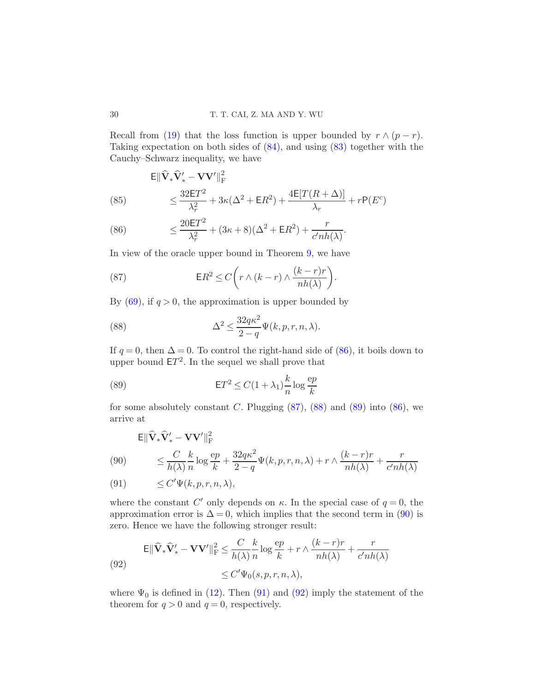Recall from [\(19\)](#page-9-1) that the loss function is upper bounded by  $r \wedge (p - r)$ . Taking expectation on both sides of [\(84\)](#page-28-2), and using [\(83\)](#page-28-3) together with the Cauchy–Schwarz inequality, we have

<span id="page-29-0"></span>
$$
\mathsf{E} \|\widehat{\mathbf{V}}_* \widehat{\mathbf{V}}'_* - \mathbf{V} \mathbf{V}'\|_{\mathrm{F}}^2
$$
\n
$$
\leq \frac{32\mathsf{E}T^2}{\lambda_r^2} + 3\kappa(\Delta^2 + \mathsf{E}R^2) + \frac{4\mathsf{E}[T(R+\Delta)]}{\lambda_r} + r\mathsf{P}(E^c)
$$

(86) 
$$
\leq \frac{20ET^2}{\lambda_r^2} + (3\kappa + 8)(\Delta^2 + \mathsf{E}R^2) + \frac{r}{c'nh(\lambda)}.
$$

In view of the oracle upper bound in Theorem [9,](#page-24-0) we have

<span id="page-29-1"></span>(87) 
$$
\mathsf{E}R^2 \leq C\bigg(r\wedge (k-r)\wedge \frac{(k-r)r}{nh(\lambda)}\bigg).
$$

By  $(69)$ , if  $q > 0$ , the approximation is upper bounded by

<span id="page-29-2"></span>(88) 
$$
\Delta^2 \le \frac{32q\kappa^2}{2-q} \Psi(k, p, r, n, \lambda).
$$

If  $q = 0$ , then  $\Delta = 0$ . To control the right-hand side of [\(86\)](#page-29-0), it boils down to upper bound  $ET^2$ . In the sequel we shall prove that

<span id="page-29-3"></span>(89) 
$$
\mathsf{E}T^{2} \leq C(1+\lambda_{1})\frac{k}{n}\log\frac{ep}{k}
$$

for some absolutely constant C. Plugging  $(87)$ ,  $(88)$  and  $(89)$  into  $(86)$ , we arrive at

<span id="page-29-4"></span>
$$
\mathsf{E} \|\widehat{\mathbf{V}}_* \widehat{\mathbf{V}}'_* - \mathbf{V} \mathbf{V}'\|_{\mathrm{F}}^2
$$
  
(90) 
$$
\leq \frac{C}{h(\lambda)} \frac{k}{n} \log \frac{\mathrm{e}p}{k} + \frac{32q\kappa^2}{2-q} \Psi(k, p, r, n, \lambda) + r \wedge \frac{(k-r)r}{nh(\lambda)} + \frac{r}{c'hh(\lambda)}
$$

$$
(91) \qquad \leq C' \Psi(k, p, r, n, \lambda),
$$

where the constant C' only depends on  $\kappa$ . In the special case of  $q=0$ , the approximation error is  $\Delta = 0$ , which implies that the second term in [\(90\)](#page-29-4) is zero. Hence we have the following stronger result:

<span id="page-29-5"></span>(92)  
\n
$$
\mathbb{E} \|\widehat{\mathbf{V}}_* \widehat{\mathbf{V}}'_* - \mathbf{V} \mathbf{V}'\|_{\mathrm{F}}^2 \leq \frac{C}{h(\lambda)} \frac{k}{n} \log \frac{ep}{k} + r \wedge \frac{(k-r)r}{nh(\lambda)} + \frac{r}{c'nh(\lambda)}
$$
\n
$$
\leq C' \Psi_0(s, p, r, n, \lambda),
$$

where  $\Psi_0$  is defined in [\(12\)](#page-7-3). Then [\(91\)](#page-29-4) and [\(92\)](#page-29-5) imply the statement of the theorem for  $q > 0$  and  $q = 0$ , respectively.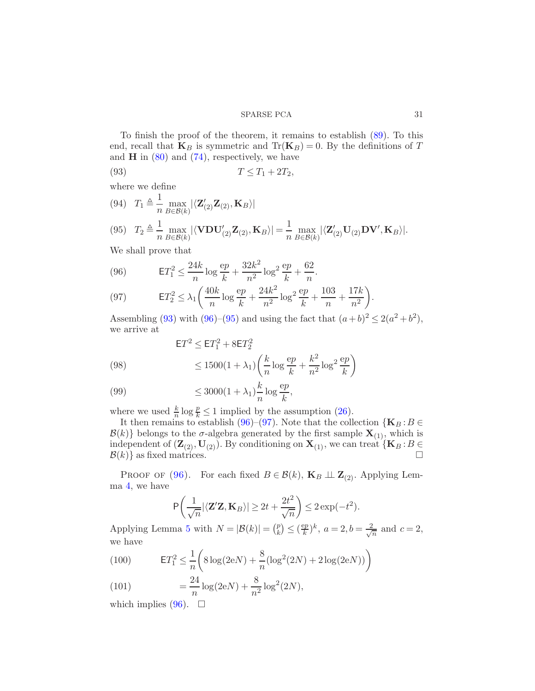To finish the proof of the theorem, it remains to establish [\(89\)](#page-29-3). To this end, recall that  $\mathbf{K}_B$  is symmetric and  $\text{Tr}(\mathbf{K}_B) = 0$ . By the definitions of T and  $H$  in  $(80)$  and  $(74)$ , respectively, we have

<span id="page-30-0"></span>
$$
(93) \t\t T \le T_1 + 2T_2,
$$

where we define

<span id="page-30-2"></span>(94) 
$$
T_1 \triangleq \frac{1}{n} \max_{B \in \mathcal{B}(k)} |\langle \mathbf{Z}'_{(2)} \mathbf{Z}_{(2)}, \mathbf{K}_B \rangle|
$$
  
(95) 
$$
T_2 \triangleq \frac{1}{n} \max_{B \in \mathcal{B}(k)} |\langle \mathbf{VDU}'_{(2)} \mathbf{Z}_{(2)}, \mathbf{K}_B \rangle| = \frac{1}{n} \max_{B \in \mathcal{B}(k)} |\langle \mathbf{Z}'_{(2)} \mathbf{U}_{(2)} \mathbf{DV}', \mathbf{K}_B \rangle|.
$$

We shall prove that

<span id="page-30-1"></span>(96) 
$$
\mathsf{E}T_1^2 \le \frac{24k}{n}\log\frac{ep}{k} + \frac{32k^2}{n^2}\log^2\frac{ep}{k} + \frac{62}{n}.
$$

(97) 
$$
\mathsf{E}T_2^2 \leq \lambda_1 \bigg( \frac{40k}{n} \log \frac{ep}{k} + \frac{24k^2}{n^2} \log^2 \frac{ep}{k} + \frac{103}{n} + \frac{17k}{n^2} \bigg).
$$

Assembling [\(93\)](#page-30-0) with [\(96\)](#page-30-1)–[\(95\)](#page-30-2) and using the fact that  $(a+b)^2 \le 2(a^2+b^2)$ , we arrive at

(98) 
$$
\mathsf{E}T^2 \leq \mathsf{E}T_1^2 + 8\mathsf{E}T_2^2
$$

$$
\leq 1500(1+\lambda_1)\left(\frac{k}{n}\log\frac{ep}{k} + \frac{k^2}{n^2}\log^2\frac{ep}{k}\right)
$$

$$
k \qquad \text{e}p
$$

(99) 
$$
\leq 3000(1+\lambda_1)\frac{k}{n}\log\frac{ep}{k},
$$

where we used  $\frac{k}{n} \log \frac{p}{k} \leq 1$  implied by the assumption [\(26\)](#page-10-4).

It then remains to establish [\(96\)](#page-30-1)–[\(97\)](#page-30-1). Note that the collection  $\{K_B : B \in$  $\mathcal{B}(k)$  belongs to the  $\sigma$ -algebra generated by the first sample  $\mathbf{X}_{(1)}$ , which is independent of  $(\mathbf{Z}_{(2)},\mathbf{U}_{(2)})$ . By conditioning on  $\mathbf{X}_{(1)}$ , we can treat  $\{\mathbf{K}_B : B \in \mathcal{B}(k)\}\$ as fixed matrices.  $\mathcal{B}(k)$  as fixed matrices.

PROOF OF [\(96\)](#page-30-1). For each fixed  $B \in \mathcal{B}(k)$ ,  $\mathbf{K}_B \perp \mathbf{Z}_{(2)}$ . Applying Lemma [4,](#page-24-6) we have

$$
P\left(\frac{1}{\sqrt{n}}|\langle \mathbf{Z}'\mathbf{Z}, \mathbf{K}_B\rangle| \ge 2t + \frac{2t^2}{\sqrt{n}}\right) \le 2\exp(-t^2).
$$

Applying Lemma [5](#page-24-7) with  $N = |\mathcal{B}(k)| = \binom{p}{k}$  $\binom{p}{k} \leq \left(\frac{ep}{k}\right)$  $(\frac{ep}{k})^k, a = 2, b = \frac{2}{\sqrt{2}}$  $rac{1}{n}$  and  $c=2$ , we have

(100) 
$$
\mathsf{E}T_1^2 \le \frac{1}{n} \bigg( 8\log(2eN) + \frac{8}{n} (\log^2(2N) + 2\log(2eN)) \bigg)
$$

(101) 
$$
= \frac{24}{n} \log(2eN) + \frac{8}{n^2} \log^2(2N),
$$

which implies [\(96\)](#page-30-1).  $\Box$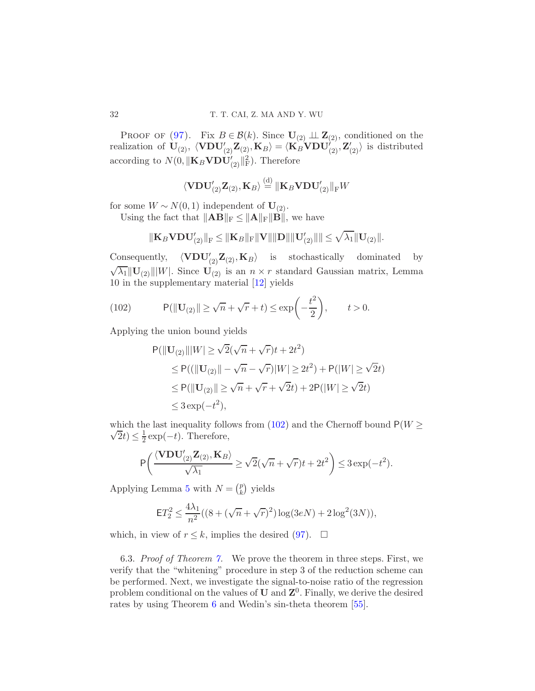PROOF OF [\(97\)](#page-30-1). Fix  $B \in \mathcal{B}(k)$ . Since  $\mathbf{U}_{(2)} \perp \mathbf{Z}_{(2)}$ , conditioned on the realization of  $U_{(2)}$ ,  $\langle \text{VDU}'_{(2)}\text{Z}_{(2)},\text{K}_B \rangle = \langle \text{K}_B \text{VDU}'_{(2)}, \text{Z}'_{(2)} \rangle$  is distributed according to  $N(0, \|\mathbf{K}_B \mathbf{VDU}'_{(2)}\|_{\text{F}}^2)$ . Therefore

$$
\langle \mathbf{VDU}'_{(2)}\mathbf{Z}_{(2)}, \mathbf{K}_B\rangle \overset{\text{(d)}}{=} \|\mathbf{K}_B\mathbf{VDU}'_{(2)}\|_F W
$$

for some  $W \sim N(0, 1)$  independent of  $U_{(2)}$ .

Using the fact that  $\|\mathbf{AB}\|_{\text{F}} \leq \|\mathbf{A}\|_{\text{F}} \|\mathbf{B}\|$ , we have

$$
\Vert \mathbf{K}_{B}\mathbf{V}\mathbf{D}\mathbf{U}_{(2)}'\Vert_{\mathrm{F}} \leq \Vert \mathbf{K}_{B}\Vert_{\mathrm{F}}\Vert \mathbf{V}\Vert \Vert \mathbf{D}\Vert \Vert \mathbf{U}_{(2)}'\Vert \Vert \leq \sqrt{\lambda_{1}}\Vert \mathbf{U}_{(2)}\Vert.
$$

Consequently,  $\langle \mathbf{VDU}'_{(2)}\mathbf{Z}_{(2)},\mathbf{K}_B\rangle$  is stochastically dominated by  $\sqrt{\lambda_1} ||\mathbf{U}_{(2)}|| |W|$ . Since  $\mathbf{U}_{(2)}$  is an  $n \times r$  standard Gaussian matrix, Lemma 10 in the supplementary material [\[12](#page-35-8)] yields

(102) 
$$
\mathsf{P}(\|\mathbf{U}_{(2)}\| \ge \sqrt{n} + \sqrt{r} + t) \le \exp\left(-\frac{t^2}{2}\right), \qquad t > 0.
$$

Applying the union bound yields

<span id="page-31-0"></span>
$$
P(||\mathbf{U}_{(2)}|||W| \ge \sqrt{2}(\sqrt{n} + \sqrt{r})t + 2t^2)
$$
  
\n
$$
\le P((||\mathbf{U}_{(2)}|| - \sqrt{n} - \sqrt{r})|W| \ge 2t^2) + P(|W| \ge \sqrt{2}t)
$$
  
\n
$$
\le P(||\mathbf{U}_{(2)}|| \ge \sqrt{n} + \sqrt{r} + \sqrt{2}t) + 2P(|W| \ge \sqrt{2}t)
$$
  
\n
$$
\le 3 \exp(-t^2),
$$

 $\sqrt{2}t) \leq \frac{1}{2}$ which the last inequality follows from [\(102\)](#page-31-0) and the Chernoff bound  $P(W \geq$  $\frac{1}{2}$  exp( $-t$ ). Therefore,

$$
\mathsf{P}\bigg(\frac{\langle \mathbf{VDU}'_{(2)}\mathbf{Z}_{(2)}, \mathbf{K}_B\rangle}{\sqrt{\lambda_1}}\geq \sqrt{2}(\sqrt{n}+\sqrt{r})t+2t^2\bigg)\leq 3\exp(-t^2).
$$

Applying Lemma [5](#page-24-7) with  $N = \binom{p}{k}$  $\binom{p}{k}$  yields

$$
ET_2^2 \le \frac{4\lambda_1}{n^2}((8 + (\sqrt{n} + \sqrt{r})^2) \log(3eN) + 2\log^2(3N)),
$$

which, in view of  $r \leq k$ , implies the desired [\(97\)](#page-30-1).  $\Box$ 

6.3. Proof of Theorem [7.](#page-17-1) We prove the theorem in three steps. First, we verify that the "whitening" procedure in step 3 of the reduction scheme can be performed. Next, we investigate the signal-to-noise ratio of the regression problem conditional on the values of  $U$  and  $Z^0$ . Finally, we derive the desired rates by using Theorem [6](#page-16-3) and Wedin's sin-theta theorem [\[55\]](#page-37-10).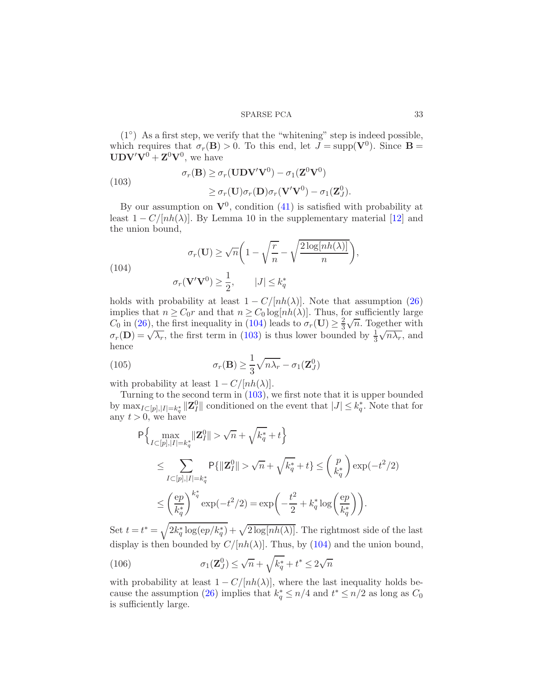(1◦ ) As a first step, we verify that the "whitening" step is indeed possible, which requires that  $\sigma_r(\mathbf{B}) > 0$ . To this end, let  $J = \text{supp}(\mathbf{V}^0)$ . Since  $\mathbf{B} =$  $\mathbf{UDV'V}^0 + \mathbf{Z}^0\mathbf{V}^0$ , we have

<span id="page-32-1"></span>(103)  
\n
$$
\sigma_r(\mathbf{B}) \geq \sigma_r(\mathbf{UDV'V^0}) - \sigma_1(\mathbf{Z}^0\mathbf{V}^0)
$$
\n
$$
\geq \sigma_r(\mathbf{U})\sigma_r(\mathbf{D})\sigma_r(\mathbf{V'V^0}) - \sigma_1(\mathbf{Z}_J^0).
$$

By our assumption on  $V^0$ , condition [\(41\)](#page-16-0) is satisfied with probability at least  $1 - C/[nh(\lambda)]$ . By Lemma 10 in the supplementary material [\[12\]](#page-35-8) and the union bound,

<span id="page-32-0"></span>(104)  

$$
\sigma_r(\mathbf{U}) \ge \sqrt{n} \left( 1 - \sqrt{\frac{r}{n}} - \sqrt{\frac{2 \log[nh(\lambda)]}{n}} \right),
$$

$$
\sigma_r(\mathbf{V}' \mathbf{V}^0) \ge \frac{1}{2}, \qquad |J| \le k_q^*
$$

holds with probability at least  $1 - C/[nh(\lambda)]$ . Note that assumption [\(26\)](#page-10-4) implies that  $n \geq C_0r$  and that  $n \geq C_0 \log[nh(\lambda)]$ . Thus, for sufficiently large  $C_0$  in [\(26\)](#page-10-4), the first inequality in [\(104\)](#page-32-0) leads to  $\sigma_r(\mathbf{U}) \geq \frac{2}{3}$  $\frac{2}{3}\sqrt{n}$ . Together with  $\sigma_r(\mathbf{D}) = \sqrt{\lambda_r}$ , the first term in [\(103\)](#page-32-1) is thus lower bounded by  $\frac{1}{3}$  $\sqrt{n\lambda_r}$ , and hence

<span id="page-32-2"></span>(105) 
$$
\sigma_r(\mathbf{B}) \ge \frac{1}{3} \sqrt{n\lambda_r} - \sigma_1(\mathbf{Z}_J^0)
$$

with probability at least  $1 - C/[nh(\lambda)].$ 

Turning to the second term in  $(103)$ , we first note that it is upper bounded by  $\max_{I \subseteq [p], |I| = k_q^*} ||\mathbf{Z}_I^0||$  conditioned on the event that  $|J| \leq k_q^*$ . Note that for any  $t > 0$ , we have

$$
\begin{split} &\mathsf{P}\Big\{\max_{I\subset [p],|I|=k_q^*}\lVert \mathbf{Z}_I^0\rVert > \sqrt{n} + \sqrt{k_q^*} + t\Big\}\\ &\leq \sum_{I\subset [p],|I|=k_q^*}\mathsf{P}\{\lVert \mathbf{Z}_I^0\rVert > \sqrt{n} + \sqrt{k_q^*} + t\} \leq \binom{p}{k_q^*}\exp(-t^2/2)\\ &\leq \left(\frac{ep}{k_q^*}\right)^{k_q^*}\exp(-t^2/2) = \exp\left(-\frac{t^2}{2} + k_q^*\log\left(\frac{ep}{k_q^*}\right)\right). \end{split}
$$

Set  $t = t^* = \sqrt{2k_q^* \log(ep/k_q^*)} + \sqrt{2\log(nh(\lambda))}$ . The rightmost side of the last display is then bounded by  $C/[nh(\lambda)]$ . Thus, by [\(104\)](#page-32-0) and the union bound,

<span id="page-32-3"></span>(106) 
$$
\sigma_1(\mathbf{Z}_{J}^0) \leq \sqrt{n} + \sqrt{k_q^*} + t^* \leq 2\sqrt{n}
$$

with probability at least  $1 - C/[nh(\lambda)]$ , where the last inequality holds be-cause the assumption [\(26\)](#page-10-4) implies that  $k_q^* \leq n/4$  and  $t^* \leq n/2$  as long as  $C_0$ is sufficiently large.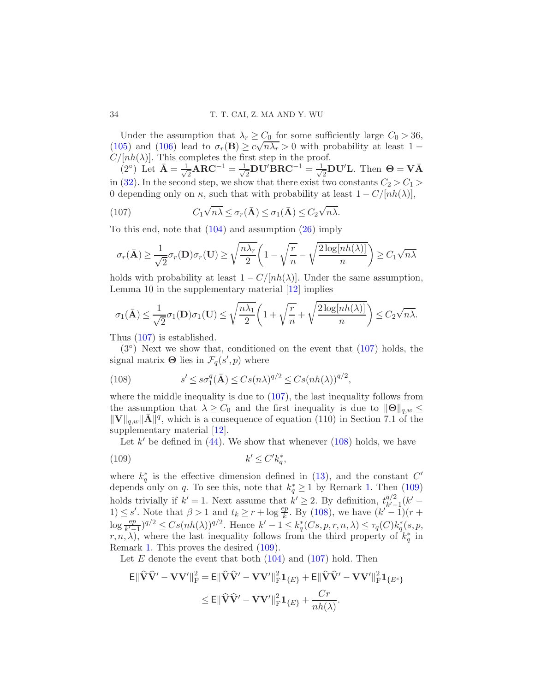Under the assumption that  $\lambda_r \geq C_0$  for some sufficiently large  $C_0 > 36$ , [\(105\)](#page-32-2) and [\(106\)](#page-32-3) lead to  $\sigma_r(\mathbf{B}) \ge c\sqrt{n\lambda_r} > 0$  with probability at least 1 –  $C/[nh(\lambda)]$ . This completes the first step in the proof.

 $(2^{\circ})$  Let  $\bar{\mathbf{A}} = \frac{1}{\sqrt{2}}$  $\frac{1}{2} \text{ARC}^{-1} = \frac{1}{\sqrt{2}}$  $\frac{1}{2}$ DU′BRC $^{-1}$   $=$   $\frac{1}{\sqrt{2}}$  $\frac{1}{2}$ DU'L. Then  $\Theta = V\bar{A}$ in [\(32\)](#page-13-2). In the second step, we show that there exist two constants  $C_2 > C_1$ 0 depending only on  $\kappa$ , such that with probability at least  $1 - C/[nh(\lambda)],$ 

<span id="page-33-0"></span>(107) 
$$
C_1\sqrt{n\lambda} \leq \sigma_r(\bar{\mathbf{A}}) \leq \sigma_1(\bar{\mathbf{A}}) \leq C_2\sqrt{n\lambda}.
$$

To this end, note that [\(104\)](#page-32-0) and assumption [\(26\)](#page-10-4) imply

$$
\sigma_r(\bar{\mathbf{A}}) \ge \frac{1}{\sqrt{2}} \sigma_r(\mathbf{D}) \sigma_r(\mathbf{U}) \ge \sqrt{\frac{n\lambda_r}{2}} \left(1 - \sqrt{\frac{r}{n}} - \sqrt{\frac{2\log[nh(\lambda)]}{n}}\right) \ge C_1 \sqrt{n\lambda}
$$

holds with probability at least  $1 - C/[nh(\lambda)]$ . Under the same assumption, Lemma 10 in the supplementary material [\[12](#page-35-8)] implies

$$
\sigma_1(\bar{\mathbf{A}}) \leq \frac{1}{\sqrt{2}} \sigma_1(\mathbf{D}) \sigma_1(\mathbf{U}) \leq \sqrt{\frac{n\lambda_1}{2}} \left(1 + \sqrt{\frac{r}{n}} + \sqrt{\frac{2\log[nh(\lambda)]}{n}}\right) \leq C_2 \sqrt{n\lambda}.
$$

Thus [\(107\)](#page-33-0) is established.

 $(3°)$  Next we show that, conditioned on the event that  $(107)$  holds, the signal matrix  $\Theta$  lies in  $\mathcal{F}_q(s', p)$  where

<span id="page-33-1"></span>(108) 
$$
s' \leq s\sigma_1^q(\bar{\mathbf{A}}) \leq C s(n\lambda)^{q/2} \leq C s(nh(\lambda))^{q/2},
$$

where the middle inequality is due to  $(107)$ , the last inequality follows from the assumption that  $\lambda \geq C_0$  and the first inequality is due to  $\|\Theta\|_{q,w} \leq$  $\|\mathbf{V}\|_{q,w}\|\bar{\mathbf{A}}\|^q$ , which is a consequence of equation (110) in Section 7.1 of the supplementary material [\[12](#page-35-8)].

<span id="page-33-2"></span>Let  $k'$  be defined in  $(44)$ . We show that whenever  $(108)$  holds, we have

$$
(109) \t\t k' \le C' k_q^*,
$$

where  $k_q^*$  is the effective dimension defined in [\(13\)](#page-7-0), and the constant  $C'$ depends only on q. To see this, note that  $k_q^* \geq 1$  by Remark [1.](#page-7-5) Then [\(109\)](#page-33-2) holds trivially if  $k' = 1$ . Next assume that  $k' \geq 2$ . By definition,  $t^{q/2}_{k'-1}$  $\frac{q}{k'-1}(k'-$ 1)  $\leq s'$ . Note that  $\beta > 1$  and  $t_k \geq r + \log \frac{ep}{k}$ . By [\(108\)](#page-33-1), we have  $(k'^{-1})(r +$  $\log \frac{ep}{k'-1}$ ) $q/2 \leq Cs(nh(\lambda))^{q/2}$ . Hence  $k'-1 \leq k_q^*(Cs, p, r, n, \lambda) \leq \tau_q(C)k_q^*(s, p, r, n, \lambda)$  $(r, n, \lambda)$ , where the last inequality follows from the third property of  $k_q^*$  in Remark [1.](#page-7-5) This proves the desired [\(109\)](#page-33-2).

Let  $E$  denote the event that both  $(104)$  and  $(107)$  hold. Then

$$
\mathsf{E} \|\widehat{\mathbf{V}}\widehat{\mathbf{V}}' - \mathbf{V}\mathbf{V}'\|_{\mathrm{F}}^2 = \mathsf{E} \|\widehat{\mathbf{V}}\widehat{\mathbf{V}}' - \mathbf{V}\mathbf{V}'\|_{\mathrm{F}}^2 \mathbf{1}_{\{E\}} + \mathsf{E} \|\widehat{\mathbf{V}}\widehat{\mathbf{V}}' - \mathbf{V}\mathbf{V}'\|_{\mathrm{F}}^2 \mathbf{1}_{\{E^c\}} \n\leq \mathsf{E} \|\widehat{\mathbf{V}}\widehat{\mathbf{V}}' - \mathbf{V}\mathbf{V}'\|_{\mathrm{F}}^2 \mathbf{1}_{\{E\}} + \frac{Cr}{nh(\lambda)}.
$$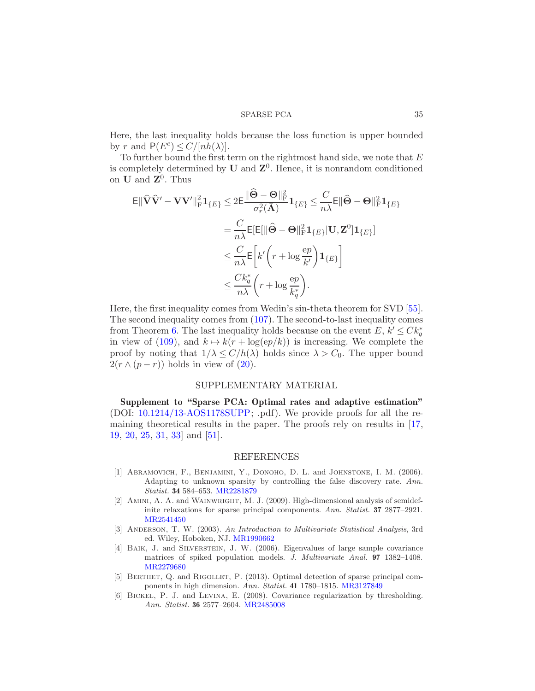Here, the last inequality holds because the loss function is upper bounded by r and  $P(E^c) \leq C/[nh(\lambda)].$ 

To further bound the first term on the rightmost hand side, we note that  $E$ is completely determined by U and  $\mathbb{Z}^0$ . Hence, it is nonrandom conditioned on  $\mathbf U$  and  $\mathbf Z^0$ . Thus

$$
\mathsf{E} \|\widehat{\mathbf{V}}\widehat{\mathbf{V}}' - \mathbf{V}\mathbf{V}'\|_{\mathrm{F}}^2 \mathbf{1}_{\{E\}} \leq 2 \mathsf{E} \frac{\|\widehat{\boldsymbol{\Theta}} - \boldsymbol{\Theta}\|_{\mathrm{F}}^2}{\sigma_r^2(\bar{\mathbf{A}})} \mathbf{1}_{\{E\}} \leq \frac{C}{n\lambda} \mathsf{E} \|\widehat{\boldsymbol{\Theta}} - \boldsymbol{\Theta}\|_{\mathrm{F}}^2 \mathbf{1}_{\{E\}}
$$
\n
$$
= \frac{C}{n\lambda} \mathsf{E}[\mathsf{E}[\|\widehat{\boldsymbol{\Theta}} - \boldsymbol{\Theta}\|_{\mathrm{F}}^2 \mathbf{1}_{\{E\}}] \mathbf{U}, \mathbf{Z}^0] \mathbf{1}_{\{E\}}]
$$
\n
$$
\leq \frac{C}{n\lambda} \mathsf{E} \left[ k' \left( r + \log \frac{ep}{k'} \right) \mathbf{1}_{\{E\}} \right]
$$
\n
$$
\leq \frac{C k_q^*}{n\lambda} \left( r + \log \frac{ep}{k_q^*} \right).
$$

Here, the first inequality comes from Wedin's sin-theta theorem for SVD [\[55](#page-37-10)]. The second inequality comes from [\(107\)](#page-33-0). The second-to-last inequality comes from Theorem [6.](#page-16-3) The last inequality holds because on the event  $E, k' \leq C k_q^*$ in view of [\(109\)](#page-33-2), and  $k \mapsto k(r + \log(ep/k))$  is increasing. We complete the proof by noting that  $1/\lambda \leq C/h(\lambda)$  holds since  $\lambda > C_0$ . The upper bound  $2(r \wedge (p-r))$  holds in view of  $(20)$ .

## SUPPLEMENTARY MATERIAL

Supplement to "Sparse PCA: Optimal rates and adaptive estimation" (DOI: [10.1214/13-AOS1178SUPP;](http://dx.doi.org/10.1214/13-AOS1178SUPP) .pdf). We provide proofs for all the remaining theoretical results in the paper. The proofs rely on results in [\[17](#page-35-17), [19,](#page-35-18) [20](#page-35-19), [25,](#page-35-20) [31](#page-36-19), [33](#page-36-20)] and [\[51\]](#page-37-11).

# REFERENCES

- <span id="page-34-4"></span>[1] Abramovich, F., Benjamini, Y., Donoho, D. L. and Johnstone, I. M. (2006). Adapting to unknown sparsity by controlling the false discovery rate. Ann. Statist. 34 584–653. [MR2281879](http://www.ams.org/mathscinet-getitem?mr=2281879)
- <span id="page-34-2"></span>[2] Amini, A. A. and Wainwright, M. J. (2009). High-dimensional analysis of semidefinite relaxations for sparse principal components. Ann. Statist. 37 2877–2921. [MR2541450](http://www.ams.org/mathscinet-getitem?mr=2541450)
- <span id="page-34-0"></span>[3] Anderson, T. W. (2003). An Introduction to Multivariate Statistical Analysis, 3rd ed. Wiley, Hoboken, NJ. [MR1990662](http://www.ams.org/mathscinet-getitem?mr=1990662)
- <span id="page-34-1"></span>[4] Baik, J. and Silverstein, J. W. (2006). Eigenvalues of large sample covariance matrices of spiked population models. J. Multivariate Anal. 97 1382–1408. [MR2279680](http://www.ams.org/mathscinet-getitem?mr=2279680)
- <span id="page-34-3"></span>[5] Berthet, Q. and Rigollet, P. (2013). Optimal detection of sparse principal components in high dimension. Ann. Statist. 41 1780–1815. [MR3127849](http://www.ams.org/mathscinet-getitem?mr=3127849)
- <span id="page-34-5"></span>[6] Bickel, P. J. and Levina, E. (2008). Covariance regularization by thresholding. Ann. Statist. 36 2577–2604. [MR2485008](http://www.ams.org/mathscinet-getitem?mr=2485008)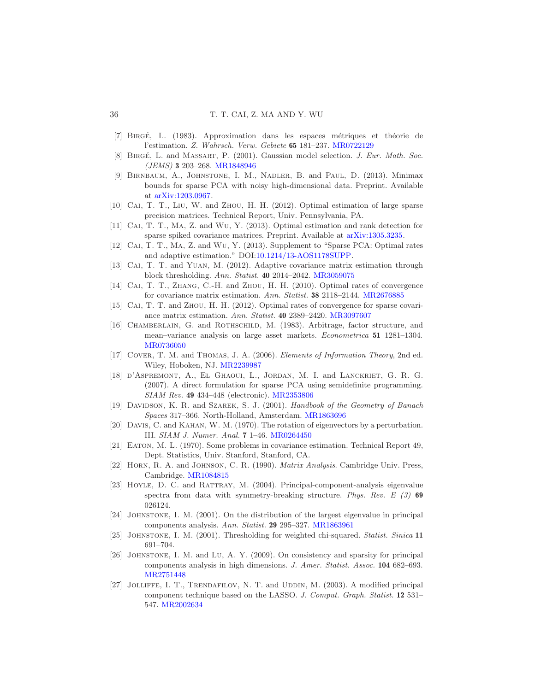- <span id="page-35-9"></span>[7] Birg´e, L. (1983). Approximation dans les espaces m´etriques et th´eorie de l'estimation. Z. Wahrsch. Verw. Gebiete 65 181–237. [MR0722129](http://www.ams.org/mathscinet-getitem?mr=0722129)
- <span id="page-35-10"></span>[8] Birg´e, L. and Massart, P. (2001). Gaussian model selection. J. Eur. Math. Soc. (JEMS) 3 203–268. [MR1848946](http://www.ams.org/mathscinet-getitem?mr=1848946)
- <span id="page-35-1"></span>[9] Birnbaum, A., Johnstone, I. M., Nadler, B. and Paul, D. (2013). Minimax bounds for sparse PCA with noisy high-dimensional data. Preprint. Available at [arXiv:1203.0967.](http://arxiv.org/abs/arXiv:1203.0967)
- <span id="page-35-13"></span>[10] Cai, T. T., Liu, W. and Zhou, H. H. (2012). Optimal estimation of large sparse precision matrices. Technical Report, Univ. Pennsylvania, PA.
- <span id="page-35-15"></span>[11] Cai, T. T., Ma, Z. and Wu, Y. (2013). Optimal estimation and rank detection for sparse spiked covariance matrices. Preprint. Available at [arXiv:1305.3235.](http://arxiv.org/abs/arXiv:1305.3235)
- <span id="page-35-8"></span>[12] Cai, T. T., Ma, Z. and Wu, Y. (2013). Supplement to "Sparse PCA: Optimal rates and adaptive estimation." DOI[:10.1214/13-AOS1178SUPP.](http://dx.doi.org/10.1214/13-AOS1178SUPP)
- <span id="page-35-12"></span>[13] CAI, T. T. and YUAN, M. (2012). Adaptive covariance matrix estimation through block thresholding. Ann. Statist. 40 2014–2042. [MR3059075](http://www.ams.org/mathscinet-getitem?mr=3059075)
- <span id="page-35-11"></span>[14] CAI, T. T., ZHANG, C.-H. and ZHOU, H. H. (2010). Optimal rates of convergence for covariance matrix estimation. Ann. Statist. 38 2118–2144. [MR2676885](http://www.ams.org/mathscinet-getitem?mr=2676885)
- <span id="page-35-7"></span>[15] CAI, T. T. and ZHOU, H. H. (2012). Optimal rates of convergence for sparse covariance matrix estimation. Ann. Statist. 40 2389–2420. [MR3097607](http://www.ams.org/mathscinet-getitem?mr=3097607)
- <span id="page-35-0"></span>[16] CHAMBERLAIN, G. and ROTHSCHILD, M. (1983). Arbitrage, factor structure, and mean–variance analysis on large asset markets. Econometrica 51 1281–1304. [MR0736050](http://www.ams.org/mathscinet-getitem?mr=0736050)
- <span id="page-35-17"></span>[17] Cover, T. M. and Thomas, J. A. (2006). Elements of Information Theory, 2nd ed. Wiley, Hoboken, NJ. [MR2239987](http://www.ams.org/mathscinet-getitem?mr=2239987)
- <span id="page-35-4"></span>[18] d'Aspremont, A., El Ghaoui, L., Jordan, M. I. and Lanckriet, G. R. G. (2007). A direct formulation for sparse PCA using semidefinite programming. SIAM Rev. 49 434–448 (electronic). [MR2353806](http://www.ams.org/mathscinet-getitem?mr=2353806)
- <span id="page-35-18"></span>[19] DAVIDSON, K. R. and SZAREK, S. J. (2001). Handbook of the Geometry of Banach Spaces 317–366. North-Holland, Amsterdam. [MR1863696](http://www.ams.org/mathscinet-getitem?mr=1863696)
- <span id="page-35-19"></span>[20] Davis, C. and Kahan, W. M. (1970). The rotation of eigenvectors by a perturbation. III. SIAM J. Numer. Anal. 7 1–46. [MR0264450](http://www.ams.org/mathscinet-getitem?mr=0264450)
- <span id="page-35-14"></span>[21] Eaton, M. L. (1970). Some problems in covariance estimation. Technical Report 49, Dept. Statistics, Univ. Stanford, Stanford, CA.
- <span id="page-35-16"></span>[22] Horn, R. A. and Johnson, C. R. (1990). Matrix Analysis. Cambridge Univ. Press, Cambridge. [MR1084815](http://www.ams.org/mathscinet-getitem?mr=1084815)
- <span id="page-35-2"></span>[23] HOYLE, D. C. and RATTRAY, M. (2004). Principal-component-analysis eigenvalue spectra from data with symmetry-breaking structure. Phys. Rev.  $E(3)$  69 026124.
- <span id="page-35-6"></span>[24] Johnstone, I. M. (2001). On the distribution of the largest eigenvalue in principal components analysis. Ann. Statist. 29 295–327. [MR1863961](http://www.ams.org/mathscinet-getitem?mr=1863961)
- <span id="page-35-20"></span>[25] Johnstone, I. M. (2001). Thresholding for weighted chi-squared. Statist. Sinica 11 691–704.
- <span id="page-35-3"></span>[26] Johnstone, I. M. and Lu, A. Y. (2009). On consistency and sparsity for principal components analysis in high dimensions. J. Amer. Statist. Assoc. 104 682–693. [MR2751448](http://www.ams.org/mathscinet-getitem?mr=2751448)
- <span id="page-35-5"></span>[27] Jolliffe, I. T., Trendafilov, N. T. and Uddin, M. (2003). A modified principal component technique based on the LASSO. J. Comput. Graph. Statist. 12 531– 547. [MR2002634](http://www.ams.org/mathscinet-getitem?mr=2002634)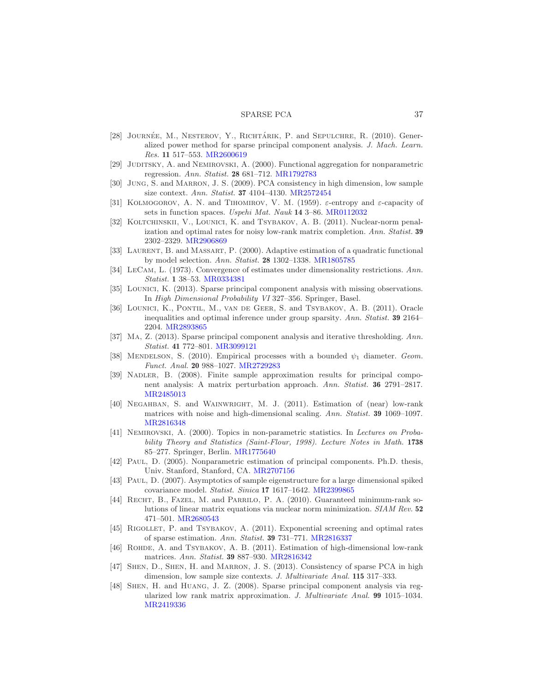- <span id="page-36-3"></span>[28] JOURNÉE, M., NESTEROV, Y., RICHTÁRIK, P. and SEPULCHRE, R. (2010). Generalized power method for sparse principal component analysis. J. Mach. Learn. Res. 11 517–553. [MR2600619](http://www.ams.org/mathscinet-getitem?mr=2600619)
- <span id="page-36-10"></span>[29] JUDITSKY, A. and NEMIROVSKI, A. (2000). Functional aggregation for nonparametric regression. Ann. Statist. 28 681–712. [MR1792783](http://www.ams.org/mathscinet-getitem?mr=1792783)
- <span id="page-36-0"></span>[30] Jung, S. and Marron, J. S. (2009). PCA consistency in high dimension, low sample size context. Ann. Statist. 37 4104–4130. [MR2572454](http://www.ams.org/mathscinet-getitem?mr=2572454)
- <span id="page-36-19"></span>[31] KOLMOGOROV, A. N. and TIHOMIROV, V. M. (1959).  $\varepsilon$ -entropy and  $\varepsilon$ -capacity of sets in function spaces. Uspehi Mat. Nauk 14 3–86. [MR0112032](http://www.ams.org/mathscinet-getitem?mr=0112032)
- <span id="page-36-14"></span>[32] KOLTCHINSKII, V., LOUNICI, K. and TSYBAKOV, A. B. (2011). Nuclear-norm penalization and optimal rates for noisy low-rank matrix completion. Ann. Statist. 39 2302–2329. [MR2906869](http://www.ams.org/mathscinet-getitem?mr=2906869)
- <span id="page-36-20"></span>[33] Laurent, B. and Massart, P. (2000). Adaptive estimation of a quadratic functional by model selection. Ann. Statist. 28 1302–1338. [MR1805785](http://www.ams.org/mathscinet-getitem?mr=1805785)
- <span id="page-36-9"></span>[34] LeCam, L. (1973). Convergence of estimates under dimensionality restrictions. Ann. Statist. 1 38–53. [MR0334381](http://www.ams.org/mathscinet-getitem?mr=0334381)
- <span id="page-36-6"></span>[35] LOUNICI, K. (2013). Sparse principal component analysis with missing observations. In High Dimensional Probability VI 327–356. Springer, Basel.
- <span id="page-36-8"></span>[36] Lounici, K., Pontil, M., van de Geer, S. and Tsybakov, A. B. (2011). Oracle inequalities and optimal inference under group sparsity. Ann. Statist. 39 2164– 2204. [MR2893865](http://www.ams.org/mathscinet-getitem?mr=2893865)
- <span id="page-36-7"></span>[37] Ma, Z. (2013). Sparse principal component analysis and iterative thresholding. Ann. Statist. 41 772–801. [MR3099121](http://www.ams.org/mathscinet-getitem?mr=3099121)
- <span id="page-36-17"></span>[38] MENDELSON, S. (2010). Empirical processes with a bounded  $\psi_1$  diameter. Geom. Funct. Anal. 20 988–1027. [MR2729283](http://www.ams.org/mathscinet-getitem?mr=2729283)
- <span id="page-36-1"></span>[39] NADLER, B. (2008). Finite sample approximation results for principal component analysis: A matrix perturbation approach. Ann. Statist. 36 2791–2817. [MR2485013](http://www.ams.org/mathscinet-getitem?mr=2485013)
- <span id="page-36-13"></span>[40] Negahban, S. and Wainwright, M. J. (2011). Estimation of (near) low-rank matrices with noise and high-dimensional scaling. Ann. Statist. 39 1069–1097. [MR2816348](http://www.ams.org/mathscinet-getitem?mr=2816348)
- <span id="page-36-11"></span>[41] Nemirovski, A. (2000). Topics in non-parametric statistics. In Lectures on Probability Theory and Statistics (Saint-Flour, 1998). Lecture Notes in Math. 1738 85–277. Springer, Berlin. [MR1775640](http://www.ams.org/mathscinet-getitem?mr=1775640)
- <span id="page-36-18"></span>[42] PAUL, D. (2005). Nonparametric estimation of principal components. Ph.D. thesis, Univ. Stanford, Stanford, CA. [MR2707156](http://www.ams.org/mathscinet-getitem?mr=2707156)
- <span id="page-36-2"></span>[43] Paul, D. (2007). Asymptotics of sample eigenstructure for a large dimensional spiked covariance model. Statist. Sinica 17 1617–1642. [MR2399865](http://www.ams.org/mathscinet-getitem?mr=2399865)
- <span id="page-36-15"></span>[44] RECHT, B., FAZEL, M. and PARRILO, P. A. (2010). Guaranteed minimum-rank solutions of linear matrix equations via nuclear norm minimization. SIAM Rev. 52 471–501. [MR2680543](http://www.ams.org/mathscinet-getitem?mr=2680543)
- <span id="page-36-12"></span>[45] RIGOLLET, P. and TSYBAKOV, A. (2011). Exponential screening and optimal rates of sparse estimation. Ann. Statist. 39 731–771. [MR2816337](http://www.ams.org/mathscinet-getitem?mr=2816337)
- <span id="page-36-16"></span>[46] ROHDE, A. and TSYBAKOV, A. B. (2011). Estimation of high-dimensional low-rank matrices. Ann. Statist. 39 887–930. [MR2816342](http://www.ams.org/mathscinet-getitem?mr=2816342)
- <span id="page-36-5"></span>[47] Shen, D., Shen, H. and Marron, J. S. (2013). Consistency of sparse PCA in high dimension, low sample size contexts. J. Multivariate Anal. 115 317–333.
- <span id="page-36-4"></span>[48] Shen, H. and Huang, J. Z. (2008). Sparse principal component analysis via regularized low rank matrix approximation. J. Multivariate Anal. 99 1015–1034. [MR2419336](http://www.ams.org/mathscinet-getitem?mr=2419336)